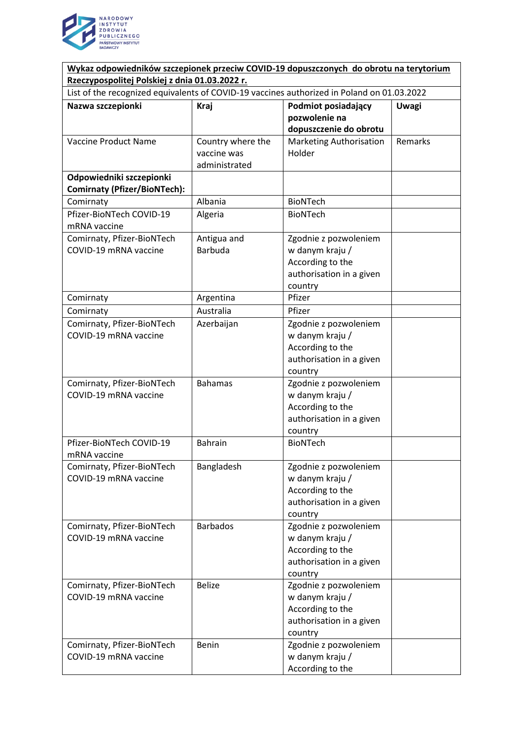

| Wykaz odpowiedników szczepionek przeciw COVID-19 dopuszczonych do obrotu na terytorium     |                   |                                     |              |
|--------------------------------------------------------------------------------------------|-------------------|-------------------------------------|--------------|
| Rzeczypospolitej Polskiej z dnia 01.03.2022 r.                                             |                   |                                     |              |
| List of the recognized equivalents of COVID-19 vaccines authorized in Poland on 01.03.2022 |                   |                                     |              |
| Nazwa szczepionki                                                                          | Kraj              | Podmiot posiadający                 | <b>Uwagi</b> |
|                                                                                            |                   | pozwolenie na                       |              |
|                                                                                            |                   | dopuszczenie do obrotu              |              |
| Vaccine Product Name                                                                       | Country where the | <b>Marketing Authorisation</b>      | Remarks      |
|                                                                                            | vaccine was       | Holder                              |              |
|                                                                                            | administrated     |                                     |              |
| Odpowiedniki szczepionki                                                                   |                   |                                     |              |
| <b>Comirnaty (Pfizer/BioNTech):</b>                                                        |                   |                                     |              |
| Comirnaty                                                                                  | Albania           | <b>BioNTech</b>                     |              |
| Pfizer-BioNTech COVID-19                                                                   | Algeria           | <b>BioNTech</b>                     |              |
| mRNA vaccine                                                                               |                   |                                     |              |
| Comirnaty, Pfizer-BioNTech                                                                 | Antigua and       | Zgodnie z pozwoleniem               |              |
| COVID-19 mRNA vaccine                                                                      | <b>Barbuda</b>    | w danym kraju /                     |              |
|                                                                                            |                   | According to the                    |              |
|                                                                                            |                   | authorisation in a given            |              |
|                                                                                            |                   | country                             |              |
| Comirnaty                                                                                  | Argentina         | Pfizer                              |              |
| Comirnaty                                                                                  | Australia         | Pfizer                              |              |
| Comirnaty, Pfizer-BioNTech                                                                 | Azerbaijan        | Zgodnie z pozwoleniem               |              |
| COVID-19 mRNA vaccine                                                                      |                   | w danym kraju /                     |              |
|                                                                                            |                   | According to the                    |              |
|                                                                                            |                   | authorisation in a given            |              |
|                                                                                            |                   | country                             |              |
| Comirnaty, Pfizer-BioNTech                                                                 | <b>Bahamas</b>    | Zgodnie z pozwoleniem               |              |
| COVID-19 mRNA vaccine                                                                      |                   | w danym kraju /                     |              |
|                                                                                            |                   | According to the                    |              |
|                                                                                            |                   | authorisation in a given            |              |
|                                                                                            |                   | country                             |              |
| Pfizer-BioNTech COVID-19                                                                   | <b>Bahrain</b>    | <b>BioNTech</b>                     |              |
| mRNA vaccine                                                                               |                   |                                     |              |
| Comirnaty, Pfizer-BioNTech                                                                 | Bangladesh        | Zgodnie z pozwoleniem               |              |
| COVID-19 mRNA vaccine                                                                      |                   | w danym kraju /                     |              |
|                                                                                            |                   | According to the                    |              |
|                                                                                            |                   | authorisation in a given<br>country |              |
| Comirnaty, Pfizer-BioNTech                                                                 | <b>Barbados</b>   | Zgodnie z pozwoleniem               |              |
| COVID-19 mRNA vaccine                                                                      |                   | w danym kraju /                     |              |
|                                                                                            |                   | According to the                    |              |
|                                                                                            |                   | authorisation in a given            |              |
|                                                                                            |                   | country                             |              |
| Comirnaty, Pfizer-BioNTech                                                                 | <b>Belize</b>     | Zgodnie z pozwoleniem               |              |
| COVID-19 mRNA vaccine                                                                      |                   | w danym kraju /                     |              |
|                                                                                            |                   | According to the                    |              |
|                                                                                            |                   | authorisation in a given            |              |
|                                                                                            |                   | country                             |              |
| Comirnaty, Pfizer-BioNTech                                                                 | Benin             | Zgodnie z pozwoleniem               |              |
| COVID-19 mRNA vaccine                                                                      |                   | w danym kraju /                     |              |
|                                                                                            |                   | According to the                    |              |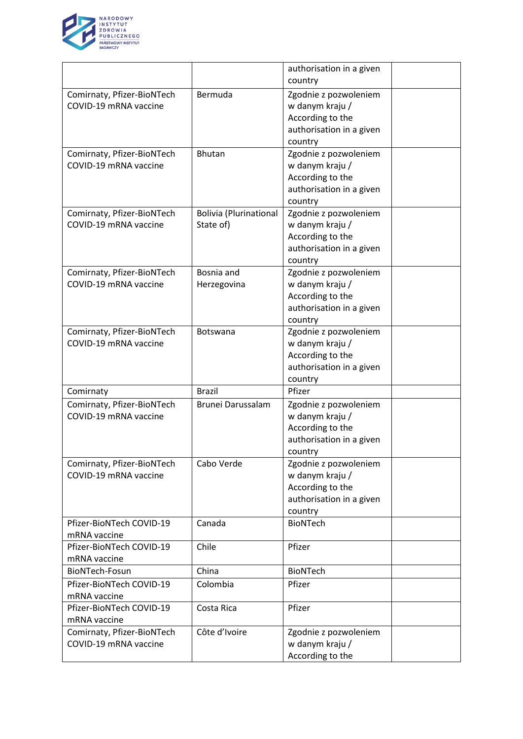

|                                                     |                               | authorisation in a given                     |  |
|-----------------------------------------------------|-------------------------------|----------------------------------------------|--|
|                                                     |                               | country                                      |  |
| Comirnaty, Pfizer-BioNTech                          | Bermuda                       | Zgodnie z pozwoleniem                        |  |
| COVID-19 mRNA vaccine                               |                               | w danym kraju /                              |  |
|                                                     |                               | According to the                             |  |
|                                                     |                               | authorisation in a given                     |  |
|                                                     |                               | country                                      |  |
| Comirnaty, Pfizer-BioNTech                          | Bhutan                        | Zgodnie z pozwoleniem                        |  |
| COVID-19 mRNA vaccine                               |                               | w danym kraju /                              |  |
|                                                     |                               | According to the                             |  |
|                                                     |                               | authorisation in a given                     |  |
|                                                     |                               | country                                      |  |
| Comirnaty, Pfizer-BioNTech                          | <b>Bolivia (Plurinational</b> | Zgodnie z pozwoleniem                        |  |
| COVID-19 mRNA vaccine                               | State of)                     | w danym kraju /                              |  |
|                                                     |                               | According to the                             |  |
|                                                     |                               | authorisation in a given                     |  |
|                                                     |                               | country                                      |  |
| Comirnaty, Pfizer-BioNTech                          | Bosnia and                    | Zgodnie z pozwoleniem                        |  |
| COVID-19 mRNA vaccine                               | Herzegovina                   | w danym kraju /                              |  |
|                                                     |                               | According to the                             |  |
|                                                     |                               | authorisation in a given                     |  |
|                                                     |                               | country                                      |  |
| Comirnaty, Pfizer-BioNTech                          | Botswana                      | Zgodnie z pozwoleniem                        |  |
| COVID-19 mRNA vaccine                               |                               | w danym kraju /                              |  |
|                                                     |                               | According to the                             |  |
|                                                     |                               | authorisation in a given                     |  |
|                                                     |                               | country                                      |  |
| Comirnaty                                           | <b>Brazil</b>                 | Pfizer                                       |  |
| Comirnaty, Pfizer-BioNTech<br>COVID-19 mRNA vaccine | Brunei Darussalam             | Zgodnie z pozwoleniem                        |  |
|                                                     |                               | w danym kraju /                              |  |
|                                                     |                               | According to the<br>authorisation in a given |  |
|                                                     |                               | country                                      |  |
| Comirnaty, Pfizer-BioNTech                          | Cabo Verde                    | Zgodnie z pozwoleniem                        |  |
| COVID-19 mRNA vaccine                               |                               | w danym kraju /                              |  |
|                                                     |                               | According to the                             |  |
|                                                     |                               | authorisation in a given                     |  |
|                                                     |                               | country                                      |  |
| Pfizer-BioNTech COVID-19                            | Canada                        | <b>BioNTech</b>                              |  |
| mRNA vaccine                                        |                               |                                              |  |
| Pfizer-BioNTech COVID-19                            | Chile                         | Pfizer                                       |  |
| mRNA vaccine                                        |                               |                                              |  |
| BioNTech-Fosun                                      | China                         | <b>BioNTech</b>                              |  |
| Pfizer-BioNTech COVID-19                            | Colombia                      | Pfizer                                       |  |
| mRNA vaccine                                        |                               |                                              |  |
| Pfizer-BioNTech COVID-19                            | Costa Rica                    | Pfizer                                       |  |
| mRNA vaccine                                        |                               |                                              |  |
| Comirnaty, Pfizer-BioNTech                          | Côte d'Ivoire                 | Zgodnie z pozwoleniem                        |  |
| COVID-19 mRNA vaccine                               |                               | w danym kraju /                              |  |
|                                                     |                               | According to the                             |  |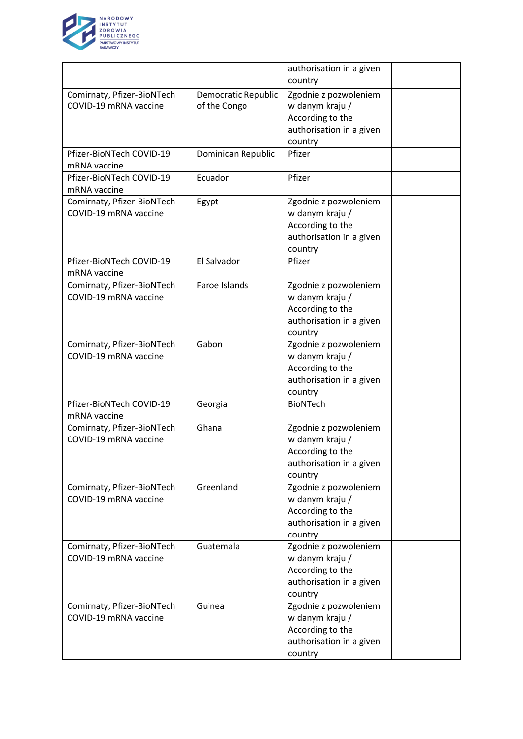

|                            |                            | authorisation in a given |  |
|----------------------------|----------------------------|--------------------------|--|
|                            |                            | country                  |  |
| Comirnaty, Pfizer-BioNTech | <b>Democratic Republic</b> | Zgodnie z pozwoleniem    |  |
| COVID-19 mRNA vaccine      | of the Congo               | w danym kraju /          |  |
|                            |                            | According to the         |  |
|                            |                            | authorisation in a given |  |
|                            |                            | country                  |  |
| Pfizer-BioNTech COVID-19   | Dominican Republic         | Pfizer                   |  |
| mRNA vaccine               |                            |                          |  |
| Pfizer-BioNTech COVID-19   | Ecuador                    | Pfizer                   |  |
| mRNA vaccine               |                            |                          |  |
| Comirnaty, Pfizer-BioNTech | Egypt                      | Zgodnie z pozwoleniem    |  |
| COVID-19 mRNA vaccine      |                            | w danym kraju /          |  |
|                            |                            | According to the         |  |
|                            |                            | authorisation in a given |  |
|                            |                            | country                  |  |
| Pfizer-BioNTech COVID-19   | El Salvador                | Pfizer                   |  |
| mRNA vaccine               |                            |                          |  |
| Comirnaty, Pfizer-BioNTech | Faroe Islands              | Zgodnie z pozwoleniem    |  |
| COVID-19 mRNA vaccine      |                            | w danym kraju /          |  |
|                            |                            | According to the         |  |
|                            |                            | authorisation in a given |  |
|                            |                            | country                  |  |
| Comirnaty, Pfizer-BioNTech | Gabon                      | Zgodnie z pozwoleniem    |  |
| COVID-19 mRNA vaccine      |                            | w danym kraju /          |  |
|                            |                            | According to the         |  |
|                            |                            | authorisation in a given |  |
|                            |                            | country                  |  |
| Pfizer-BioNTech COVID-19   | Georgia                    | <b>BioNTech</b>          |  |
| mRNA vaccine               |                            |                          |  |
| Comirnaty, Pfizer-BioNTech | Ghana                      | Zgodnie z pozwoleniem    |  |
| COVID-19 mRNA vaccine      |                            | w danym kraju /          |  |
|                            |                            | According to the         |  |
|                            |                            | authorisation in a given |  |
|                            |                            | country                  |  |
| Comirnaty, Pfizer-BioNTech | Greenland                  | Zgodnie z pozwoleniem    |  |
| COVID-19 mRNA vaccine      |                            | w danym kraju /          |  |
|                            |                            | According to the         |  |
|                            |                            | authorisation in a given |  |
|                            |                            | country                  |  |
| Comirnaty, Pfizer-BioNTech | Guatemala                  | Zgodnie z pozwoleniem    |  |
| COVID-19 mRNA vaccine      |                            | w danym kraju /          |  |
|                            |                            | According to the         |  |
|                            |                            | authorisation in a given |  |
|                            |                            | country                  |  |
| Comirnaty, Pfizer-BioNTech | Guinea                     | Zgodnie z pozwoleniem    |  |
| COVID-19 mRNA vaccine      |                            | w danym kraju /          |  |
|                            |                            | According to the         |  |
|                            |                            | authorisation in a given |  |
|                            |                            | country                  |  |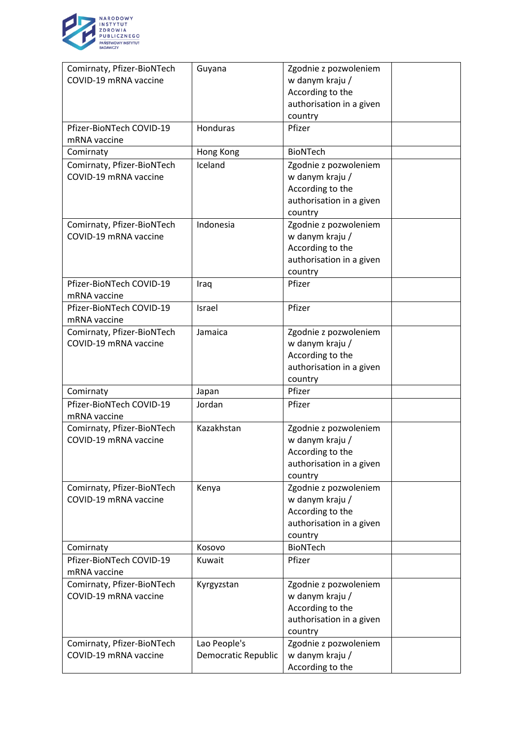

| Comirnaty, Pfizer-BioNTech                          | Guyana              | Zgodnie z pozwoleniem                        |  |
|-----------------------------------------------------|---------------------|----------------------------------------------|--|
| COVID-19 mRNA vaccine                               |                     | w danym kraju /                              |  |
|                                                     |                     | According to the                             |  |
|                                                     |                     | authorisation in a given                     |  |
|                                                     |                     | country                                      |  |
| Pfizer-BioNTech COVID-19                            | Honduras            | Pfizer                                       |  |
| mRNA vaccine                                        |                     |                                              |  |
| Comirnaty                                           | Hong Kong           | <b>BioNTech</b>                              |  |
| Comirnaty, Pfizer-BioNTech                          | Iceland             | Zgodnie z pozwoleniem                        |  |
| COVID-19 mRNA vaccine                               |                     | w danym kraju /                              |  |
|                                                     |                     | According to the                             |  |
|                                                     |                     | authorisation in a given                     |  |
|                                                     |                     | country                                      |  |
| Comirnaty, Pfizer-BioNTech                          | Indonesia           | Zgodnie z pozwoleniem                        |  |
| COVID-19 mRNA vaccine                               |                     | w danym kraju /                              |  |
|                                                     |                     | According to the                             |  |
|                                                     |                     | authorisation in a given                     |  |
| Pfizer-BioNTech COVID-19                            |                     | country<br>Pfizer                            |  |
| mRNA vaccine                                        | Iraq                |                                              |  |
| Pfizer-BioNTech COVID-19                            | Israel              | Pfizer                                       |  |
| mRNA vaccine                                        |                     |                                              |  |
| Comirnaty, Pfizer-BioNTech                          | Jamaica             | Zgodnie z pozwoleniem                        |  |
| COVID-19 mRNA vaccine                               |                     | w danym kraju /                              |  |
|                                                     |                     | According to the                             |  |
|                                                     |                     | authorisation in a given                     |  |
|                                                     |                     | country                                      |  |
| Comirnaty                                           | Japan               | Pfizer                                       |  |
| Pfizer-BioNTech COVID-19                            | Jordan              | Pfizer                                       |  |
| mRNA vaccine                                        |                     |                                              |  |
| Comirnaty, Pfizer-BioNTech                          | Kazakhstan          | Zgodnie z pozwoleniem                        |  |
| COVID-19 mRNA vaccine                               |                     | w danym kraju /                              |  |
|                                                     |                     | According to the                             |  |
|                                                     |                     | authorisation in a given                     |  |
|                                                     |                     | country                                      |  |
| Comirnaty, Pfizer-BioNTech<br>COVID-19 mRNA vaccine | Kenya               | Zgodnie z pozwoleniem                        |  |
|                                                     |                     | w danym kraju /                              |  |
|                                                     |                     | According to the<br>authorisation in a given |  |
|                                                     |                     | country                                      |  |
| Comirnaty                                           | Kosovo              | <b>BioNTech</b>                              |  |
| Pfizer-BioNTech COVID-19                            | Kuwait              | Pfizer                                       |  |
| mRNA vaccine                                        |                     |                                              |  |
| Comirnaty, Pfizer-BioNTech                          | Kyrgyzstan          | Zgodnie z pozwoleniem                        |  |
| COVID-19 mRNA vaccine                               |                     | w danym kraju /                              |  |
|                                                     |                     | According to the                             |  |
|                                                     |                     | authorisation in a given                     |  |
|                                                     |                     | country                                      |  |
| Comirnaty, Pfizer-BioNTech                          | Lao People's        | Zgodnie z pozwoleniem                        |  |
| COVID-19 mRNA vaccine                               | Democratic Republic | w danym kraju /                              |  |
|                                                     |                     | According to the                             |  |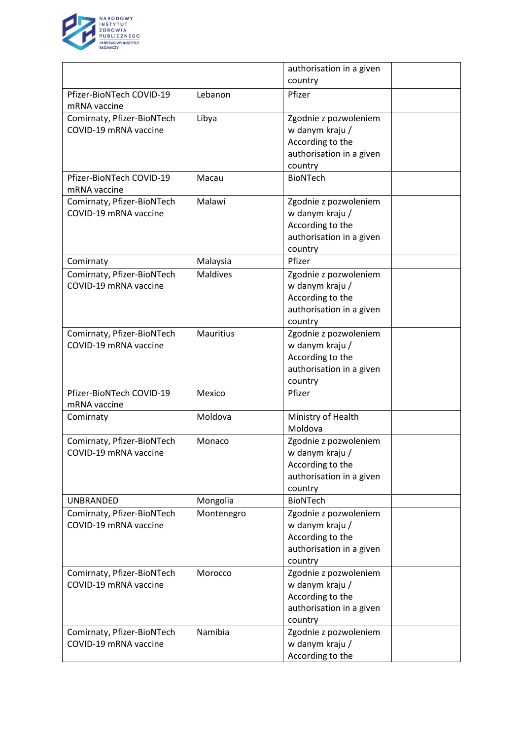

|                                                     |                  | authorisation in a given |  |
|-----------------------------------------------------|------------------|--------------------------|--|
|                                                     |                  | country                  |  |
| Pfizer-BioNTech COVID-19                            | Lebanon          | Pfizer                   |  |
| mRNA vaccine                                        |                  |                          |  |
| Comirnaty, Pfizer-BioNTech                          | Libya            | Zgodnie z pozwoleniem    |  |
| COVID-19 mRNA vaccine                               |                  | w danym kraju /          |  |
|                                                     |                  | According to the         |  |
|                                                     |                  | authorisation in a given |  |
|                                                     |                  | country                  |  |
| Pfizer-BioNTech COVID-19                            | Macau            | <b>BioNTech</b>          |  |
| mRNA vaccine                                        |                  |                          |  |
| Comirnaty, Pfizer-BioNTech                          | Malawi           | Zgodnie z pozwoleniem    |  |
| COVID-19 mRNA vaccine                               |                  | w danym kraju /          |  |
|                                                     |                  | According to the         |  |
|                                                     |                  | authorisation in a given |  |
|                                                     |                  | country                  |  |
| Comirnaty                                           | Malaysia         | Pfizer                   |  |
| Comirnaty, Pfizer-BioNTech                          | <b>Maldives</b>  | Zgodnie z pozwoleniem    |  |
| COVID-19 mRNA vaccine                               |                  | w danym kraju /          |  |
|                                                     |                  | According to the         |  |
|                                                     |                  | authorisation in a given |  |
|                                                     |                  | country                  |  |
| Comirnaty, Pfizer-BioNTech                          | <b>Mauritius</b> | Zgodnie z pozwoleniem    |  |
| COVID-19 mRNA vaccine                               |                  | w danym kraju /          |  |
|                                                     |                  | According to the         |  |
|                                                     |                  | authorisation in a given |  |
|                                                     |                  | country                  |  |
| Pfizer-BioNTech COVID-19                            | Mexico           | Pfizer                   |  |
| mRNA vaccine                                        |                  |                          |  |
| Comirnaty                                           | Moldova          | Ministry of Health       |  |
|                                                     |                  | Moldova                  |  |
| Comirnaty, Pfizer-BioNTech                          | Monaco           | Zgodnie z pozwoleniem    |  |
| COVID-19 mRNA vaccine                               |                  | w danym kraju /          |  |
|                                                     |                  | According to the         |  |
|                                                     |                  | authorisation in a given |  |
|                                                     |                  | country                  |  |
| UNBRANDED                                           | Mongolia         | <b>BioNTech</b>          |  |
| Comirnaty, Pfizer-BioNTech                          | Montenegro       | Zgodnie z pozwoleniem    |  |
| COVID-19 mRNA vaccine                               |                  | w danym kraju /          |  |
|                                                     |                  | According to the         |  |
|                                                     |                  | authorisation in a given |  |
|                                                     |                  | country                  |  |
| Comirnaty, Pfizer-BioNTech                          | Morocco          | Zgodnie z pozwoleniem    |  |
| COVID-19 mRNA vaccine                               |                  | w danym kraju /          |  |
|                                                     |                  | According to the         |  |
|                                                     |                  |                          |  |
|                                                     |                  | authorisation in a given |  |
|                                                     | Namibia          | country                  |  |
| Comirnaty, Pfizer-BioNTech<br>COVID-19 mRNA vaccine |                  | Zgodnie z pozwoleniem    |  |
|                                                     |                  | w danym kraju /          |  |
|                                                     |                  | According to the         |  |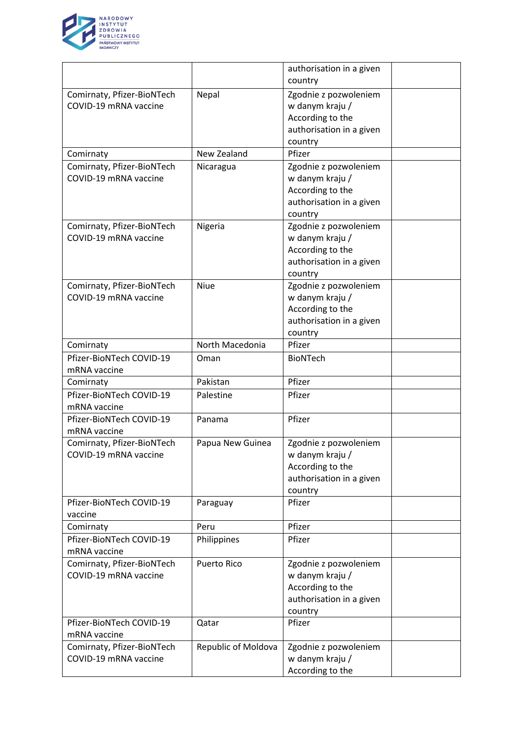

|                            |                     | authorisation in a given |  |
|----------------------------|---------------------|--------------------------|--|
|                            |                     | country                  |  |
| Comirnaty, Pfizer-BioNTech | Nepal               | Zgodnie z pozwoleniem    |  |
| COVID-19 mRNA vaccine      |                     | w danym kraju /          |  |
|                            |                     | According to the         |  |
|                            |                     | authorisation in a given |  |
|                            |                     | country                  |  |
| Comirnaty                  | New Zealand         | Pfizer                   |  |
| Comirnaty, Pfizer-BioNTech | Nicaragua           | Zgodnie z pozwoleniem    |  |
| COVID-19 mRNA vaccine      |                     | w danym kraju /          |  |
|                            |                     | According to the         |  |
|                            |                     | authorisation in a given |  |
|                            |                     | country                  |  |
| Comirnaty, Pfizer-BioNTech | Nigeria             | Zgodnie z pozwoleniem    |  |
| COVID-19 mRNA vaccine      |                     | w danym kraju /          |  |
|                            |                     | According to the         |  |
|                            |                     | authorisation in a given |  |
|                            |                     | country                  |  |
| Comirnaty, Pfizer-BioNTech | <b>Niue</b>         | Zgodnie z pozwoleniem    |  |
| COVID-19 mRNA vaccine      |                     | w danym kraju /          |  |
|                            |                     | According to the         |  |
|                            |                     | authorisation in a given |  |
|                            |                     | country                  |  |
| Comirnaty                  | North Macedonia     | Pfizer                   |  |
| Pfizer-BioNTech COVID-19   | Oman                | <b>BioNTech</b>          |  |
| mRNA vaccine               |                     |                          |  |
| Comirnaty                  | Pakistan            | Pfizer                   |  |
| Pfizer-BioNTech COVID-19   | Palestine           | Pfizer                   |  |
| mRNA vaccine               |                     |                          |  |
| Pfizer-BioNTech COVID-19   | Panama              | Pfizer                   |  |
| mRNA vaccine               |                     |                          |  |
| Comirnaty, Pfizer-BioNTech | Papua New Guinea    | Zgodnie z pozwoleniem    |  |
| COVID-19 mRNA vaccine      |                     | w danym kraju /          |  |
|                            |                     | According to the         |  |
|                            |                     | authorisation in a given |  |
|                            |                     | country                  |  |
| Pfizer-BioNTech COVID-19   | Paraguay            | Pfizer                   |  |
| vaccine                    |                     |                          |  |
| Comirnaty                  | Peru                | Pfizer                   |  |
| Pfizer-BioNTech COVID-19   | Philippines         | Pfizer                   |  |
| mRNA vaccine               |                     |                          |  |
| Comirnaty, Pfizer-BioNTech | <b>Puerto Rico</b>  | Zgodnie z pozwoleniem    |  |
| COVID-19 mRNA vaccine      |                     | w danym kraju /          |  |
|                            |                     | According to the         |  |
|                            |                     | authorisation in a given |  |
|                            |                     | country                  |  |
| Pfizer-BioNTech COVID-19   | Qatar               | Pfizer                   |  |
| mRNA vaccine               |                     |                          |  |
| Comirnaty, Pfizer-BioNTech | Republic of Moldova | Zgodnie z pozwoleniem    |  |
| COVID-19 mRNA vaccine      |                     | w danym kraju /          |  |
|                            |                     | According to the         |  |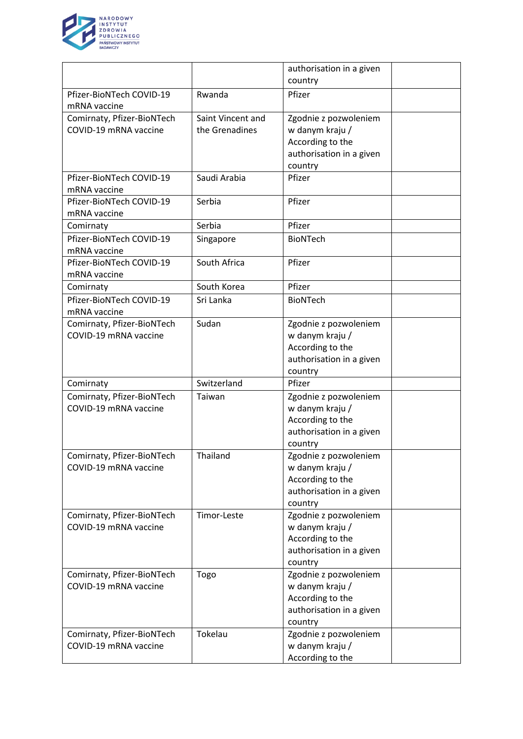

|                                                     |                   | authorisation in a given |  |
|-----------------------------------------------------|-------------------|--------------------------|--|
|                                                     |                   | country                  |  |
| Pfizer-BioNTech COVID-19                            | Rwanda            | Pfizer                   |  |
| mRNA vaccine                                        |                   |                          |  |
| Comirnaty, Pfizer-BioNTech                          | Saint Vincent and | Zgodnie z pozwoleniem    |  |
| COVID-19 mRNA vaccine                               | the Grenadines    | w danym kraju /          |  |
|                                                     |                   | According to the         |  |
|                                                     |                   | authorisation in a given |  |
|                                                     |                   | country                  |  |
| Pfizer-BioNTech COVID-19                            | Saudi Arabia      | Pfizer                   |  |
| mRNA vaccine                                        |                   |                          |  |
| Pfizer-BioNTech COVID-19                            | Serbia            | Pfizer                   |  |
| mRNA vaccine                                        |                   |                          |  |
| Comirnaty                                           | Serbia            | Pfizer                   |  |
| Pfizer-BioNTech COVID-19                            | Singapore         | <b>BioNTech</b>          |  |
| mRNA vaccine                                        |                   |                          |  |
| Pfizer-BioNTech COVID-19                            | South Africa      | Pfizer                   |  |
| mRNA vaccine                                        |                   |                          |  |
| Comirnaty                                           | South Korea       | Pfizer                   |  |
| Pfizer-BioNTech COVID-19                            | Sri Lanka         | <b>BioNTech</b>          |  |
| mRNA vaccine                                        |                   |                          |  |
| Comirnaty, Pfizer-BioNTech                          | Sudan             | Zgodnie z pozwoleniem    |  |
| COVID-19 mRNA vaccine                               |                   | w danym kraju /          |  |
|                                                     |                   | According to the         |  |
|                                                     |                   | authorisation in a given |  |
|                                                     |                   | country                  |  |
| Comirnaty                                           | Switzerland       | Pfizer                   |  |
|                                                     |                   |                          |  |
| Comirnaty, Pfizer-BioNTech<br>COVID-19 mRNA vaccine | Taiwan            | Zgodnie z pozwoleniem    |  |
|                                                     |                   | w danym kraju /          |  |
|                                                     |                   | According to the         |  |
|                                                     |                   | authorisation in a given |  |
|                                                     |                   | country                  |  |
| Comirnaty, Pfizer-BioNTech                          | Thailand          | Zgodnie z pozwoleniem    |  |
| COVID-19 mRNA vaccine                               |                   | w danym kraju /          |  |
|                                                     |                   | According to the         |  |
|                                                     |                   | authorisation in a given |  |
|                                                     |                   | country                  |  |
| Comirnaty, Pfizer-BioNTech                          | Timor-Leste       | Zgodnie z pozwoleniem    |  |
| COVID-19 mRNA vaccine                               |                   | w danym kraju /          |  |
|                                                     |                   | According to the         |  |
|                                                     |                   | authorisation in a given |  |
|                                                     |                   | country                  |  |
| Comirnaty, Pfizer-BioNTech                          | Togo              | Zgodnie z pozwoleniem    |  |
| COVID-19 mRNA vaccine                               |                   | w danym kraju /          |  |
|                                                     |                   | According to the         |  |
|                                                     |                   | authorisation in a given |  |
|                                                     |                   | country                  |  |
| Comirnaty, Pfizer-BioNTech                          | Tokelau           | Zgodnie z pozwoleniem    |  |
| COVID-19 mRNA vaccine                               |                   | w danym kraju /          |  |
|                                                     |                   | According to the         |  |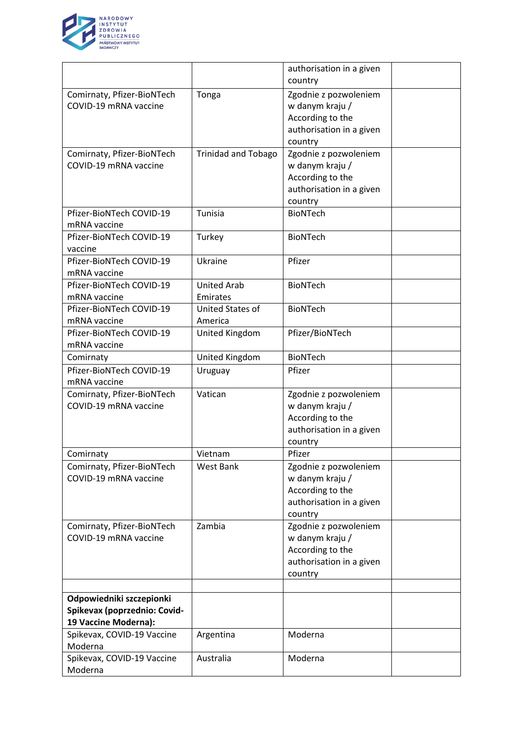

|                              |                            | authorisation in a given |  |
|------------------------------|----------------------------|--------------------------|--|
|                              |                            | country                  |  |
| Comirnaty, Pfizer-BioNTech   | Tonga                      | Zgodnie z pozwoleniem    |  |
| COVID-19 mRNA vaccine        |                            | w danym kraju /          |  |
|                              |                            | According to the         |  |
|                              |                            | authorisation in a given |  |
|                              |                            | country                  |  |
| Comirnaty, Pfizer-BioNTech   | <b>Trinidad and Tobago</b> | Zgodnie z pozwoleniem    |  |
| COVID-19 mRNA vaccine        |                            | w danym kraju /          |  |
|                              |                            | According to the         |  |
|                              |                            | authorisation in a given |  |
|                              |                            | country                  |  |
| Pfizer-BioNTech COVID-19     | Tunisia                    | <b>BioNTech</b>          |  |
| mRNA vaccine                 |                            |                          |  |
| Pfizer-BioNTech COVID-19     | Turkey                     | <b>BioNTech</b>          |  |
| vaccine                      |                            |                          |  |
| Pfizer-BioNTech COVID-19     | Ukraine                    | Pfizer                   |  |
| mRNA vaccine                 |                            |                          |  |
| Pfizer-BioNTech COVID-19     | <b>United Arab</b>         | <b>BioNTech</b>          |  |
| mRNA vaccine                 | Emirates                   |                          |  |
| Pfizer-BioNTech COVID-19     | <b>United States of</b>    | <b>BioNTech</b>          |  |
| mRNA vaccine                 | America                    |                          |  |
| Pfizer-BioNTech COVID-19     | United Kingdom             | Pfizer/BioNTech          |  |
| mRNA vaccine                 |                            |                          |  |
| Comirnaty                    | United Kingdom             | <b>BioNTech</b>          |  |
| Pfizer-BioNTech COVID-19     | Uruguay                    | Pfizer                   |  |
| mRNA vaccine                 |                            |                          |  |
| Comirnaty, Pfizer-BioNTech   | Vatican                    | Zgodnie z pozwoleniem    |  |
| COVID-19 mRNA vaccine        |                            | w danym kraju /          |  |
|                              |                            | According to the         |  |
|                              |                            | authorisation in a given |  |
|                              |                            | country                  |  |
| Comirnaty                    | Vietnam                    | Pfizer                   |  |
| Comirnaty, Pfizer-BioNTech   | <b>West Bank</b>           | Zgodnie z pozwoleniem    |  |
| COVID-19 mRNA vaccine        |                            | w danym kraju /          |  |
|                              |                            | According to the         |  |
|                              |                            | authorisation in a given |  |
|                              |                            | country                  |  |
| Comirnaty, Pfizer-BioNTech   | Zambia                     | Zgodnie z pozwoleniem    |  |
| COVID-19 mRNA vaccine        |                            | w danym kraju /          |  |
|                              |                            | According to the         |  |
|                              |                            | authorisation in a given |  |
|                              |                            | country                  |  |
|                              |                            |                          |  |
| Odpowiedniki szczepionki     |                            |                          |  |
| Spikevax (poprzednio: Covid- |                            |                          |  |
| 19 Vaccine Moderna):         |                            |                          |  |
| Spikevax, COVID-19 Vaccine   | Argentina                  | Moderna                  |  |
| Moderna                      |                            |                          |  |
| Spikevax, COVID-19 Vaccine   | Australia                  | Moderna                  |  |
| Moderna                      |                            |                          |  |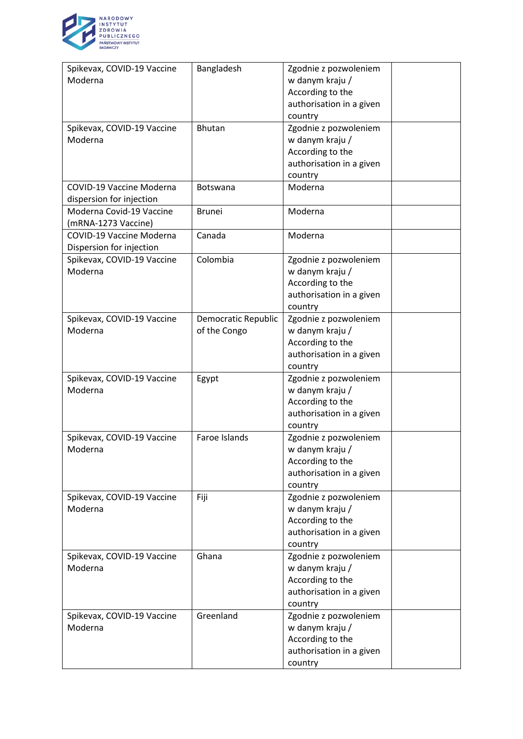

| Spikevax, COVID-19 Vaccine<br>Moderna                       | Bangladesh                          | Zgodnie z pozwoleniem<br>w danym kraju /<br>According to the<br>authorisation in a given<br>country |  |
|-------------------------------------------------------------|-------------------------------------|-----------------------------------------------------------------------------------------------------|--|
| Spikevax, COVID-19 Vaccine<br>Moderna                       | <b>Bhutan</b>                       | Zgodnie z pozwoleniem<br>w danym kraju /<br>According to the<br>authorisation in a given<br>country |  |
| <b>COVID-19 Vaccine Moderna</b><br>dispersion for injection | Botswana                            | Moderna                                                                                             |  |
| Moderna Covid-19 Vaccine<br>(mRNA-1273 Vaccine)             | <b>Brunei</b>                       | Moderna                                                                                             |  |
| COVID-19 Vaccine Moderna<br>Dispersion for injection        | Canada                              | Moderna                                                                                             |  |
| Spikevax, COVID-19 Vaccine<br>Moderna                       | Colombia                            | Zgodnie z pozwoleniem<br>w danym kraju /<br>According to the<br>authorisation in a given<br>country |  |
| Spikevax, COVID-19 Vaccine<br>Moderna                       | Democratic Republic<br>of the Congo | Zgodnie z pozwoleniem<br>w danym kraju /<br>According to the<br>authorisation in a given<br>country |  |
| Spikevax, COVID-19 Vaccine<br>Moderna                       | Egypt                               | Zgodnie z pozwoleniem<br>w danym kraju /<br>According to the<br>authorisation in a given<br>country |  |
| Spikevax, COVID-19 Vaccine<br>Moderna                       | Faroe Islands                       | Zgodnie z pozwoleniem<br>w danym kraju /<br>According to the<br>authorisation in a given<br>country |  |
| Spikevax, COVID-19 Vaccine<br>Moderna                       | Fiji                                | Zgodnie z pozwoleniem<br>w danym kraju /<br>According to the<br>authorisation in a given<br>country |  |
| Spikevax, COVID-19 Vaccine<br>Moderna                       | Ghana                               | Zgodnie z pozwoleniem<br>w danym kraju /<br>According to the<br>authorisation in a given<br>country |  |
| Spikevax, COVID-19 Vaccine<br>Moderna                       | Greenland                           | Zgodnie z pozwoleniem<br>w danym kraju /<br>According to the<br>authorisation in a given<br>country |  |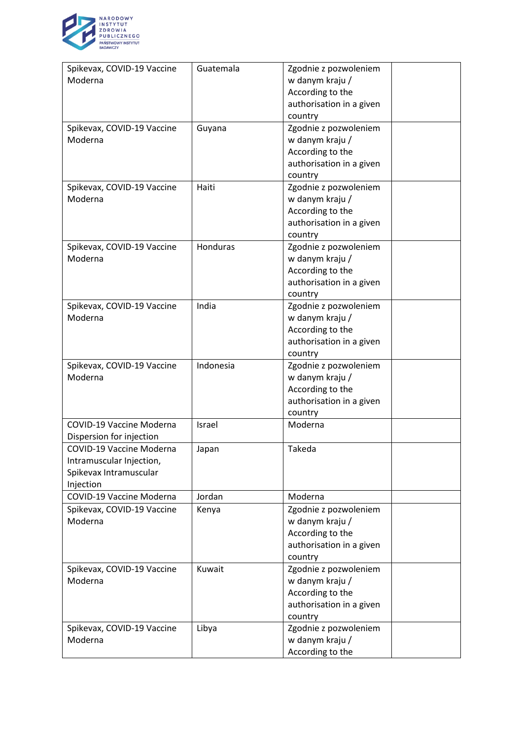

| Spikevax, COVID-19 Vaccine<br>Moderna                                                              | Guatemala | Zgodnie z pozwoleniem<br>w danym kraju /<br>According to the<br>authorisation in a given<br>country |  |
|----------------------------------------------------------------------------------------------------|-----------|-----------------------------------------------------------------------------------------------------|--|
| Spikevax, COVID-19 Vaccine<br>Moderna                                                              | Guyana    | Zgodnie z pozwoleniem<br>w danym kraju /<br>According to the<br>authorisation in a given<br>country |  |
| Spikevax, COVID-19 Vaccine<br>Moderna                                                              | Haiti     | Zgodnie z pozwoleniem<br>w danym kraju /<br>According to the<br>authorisation in a given<br>country |  |
| Spikevax, COVID-19 Vaccine<br>Moderna                                                              | Honduras  | Zgodnie z pozwoleniem<br>w danym kraju /<br>According to the<br>authorisation in a given<br>country |  |
| Spikevax, COVID-19 Vaccine<br>Moderna                                                              | India     | Zgodnie z pozwoleniem<br>w danym kraju /<br>According to the<br>authorisation in a given<br>country |  |
| Spikevax, COVID-19 Vaccine<br>Moderna                                                              | Indonesia | Zgodnie z pozwoleniem<br>w danym kraju /<br>According to the<br>authorisation in a given<br>country |  |
| COVID-19 Vaccine Moderna<br>Dispersion for injection                                               | Israel    | Moderna                                                                                             |  |
| <b>COVID-19 Vaccine Moderna</b><br>Intramuscular Injection,<br>Spikevax Intramuscular<br>Injection | Japan     | Takeda                                                                                              |  |
| <b>COVID-19 Vaccine Moderna</b>                                                                    | Jordan    | Moderna                                                                                             |  |
| Spikevax, COVID-19 Vaccine<br>Moderna                                                              | Kenya     | Zgodnie z pozwoleniem<br>w danym kraju /<br>According to the<br>authorisation in a given<br>country |  |
| Spikevax, COVID-19 Vaccine<br>Moderna                                                              | Kuwait    | Zgodnie z pozwoleniem<br>w danym kraju /<br>According to the<br>authorisation in a given<br>country |  |
| Spikevax, COVID-19 Vaccine<br>Moderna                                                              | Libya     | Zgodnie z pozwoleniem<br>w danym kraju /<br>According to the                                        |  |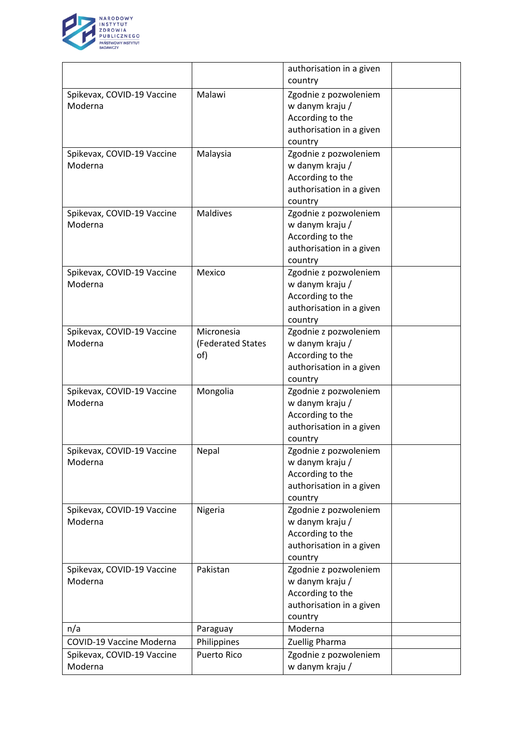

|                                 |                    | authorisation in a given |  |
|---------------------------------|--------------------|--------------------------|--|
|                                 |                    | country                  |  |
| Spikevax, COVID-19 Vaccine      | Malawi             | Zgodnie z pozwoleniem    |  |
| Moderna                         |                    | w danym kraju /          |  |
|                                 |                    | According to the         |  |
|                                 |                    | authorisation in a given |  |
|                                 |                    | country                  |  |
| Spikevax, COVID-19 Vaccine      | Malaysia           | Zgodnie z pozwoleniem    |  |
| Moderna                         |                    | w danym kraju /          |  |
|                                 |                    | According to the         |  |
|                                 |                    | authorisation in a given |  |
|                                 |                    | country                  |  |
| Spikevax, COVID-19 Vaccine      | <b>Maldives</b>    | Zgodnie z pozwoleniem    |  |
| Moderna                         |                    | w danym kraju /          |  |
|                                 |                    | According to the         |  |
|                                 |                    | authorisation in a given |  |
|                                 |                    | country                  |  |
| Spikevax, COVID-19 Vaccine      | Mexico             | Zgodnie z pozwoleniem    |  |
| Moderna                         |                    | w danym kraju /          |  |
|                                 |                    | According to the         |  |
|                                 |                    | authorisation in a given |  |
|                                 |                    | country                  |  |
| Spikevax, COVID-19 Vaccine      | Micronesia         | Zgodnie z pozwoleniem    |  |
| Moderna                         | (Federated States  | w danym kraju /          |  |
|                                 | of)                | According to the         |  |
|                                 |                    | authorisation in a given |  |
|                                 |                    | country                  |  |
| Spikevax, COVID-19 Vaccine      | Mongolia           | Zgodnie z pozwoleniem    |  |
| Moderna                         |                    | w danym kraju /          |  |
|                                 |                    | According to the         |  |
|                                 |                    | authorisation in a given |  |
|                                 |                    | country                  |  |
| Spikevax, COVID-19 Vaccine      | Nepal              | Zgodnie z pozwoleniem    |  |
| Moderna                         |                    | w danym kraju /          |  |
|                                 |                    | According to the         |  |
|                                 |                    | authorisation in a given |  |
|                                 |                    | country                  |  |
| Spikevax, COVID-19 Vaccine      | Nigeria            | Zgodnie z pozwoleniem    |  |
| Moderna                         |                    | w danym kraju /          |  |
|                                 |                    | According to the         |  |
|                                 |                    | authorisation in a given |  |
|                                 |                    | country                  |  |
| Spikevax, COVID-19 Vaccine      | Pakistan           | Zgodnie z pozwoleniem    |  |
| Moderna                         |                    | w danym kraju /          |  |
|                                 |                    | According to the         |  |
|                                 |                    | authorisation in a given |  |
|                                 |                    | country                  |  |
| n/a                             |                    | Moderna                  |  |
|                                 | Paraguay           |                          |  |
| <b>COVID-19 Vaccine Moderna</b> | Philippines        | Zuellig Pharma           |  |
| Spikevax, COVID-19 Vaccine      | <b>Puerto Rico</b> | Zgodnie z pozwoleniem    |  |
| Moderna                         |                    | w danym kraju /          |  |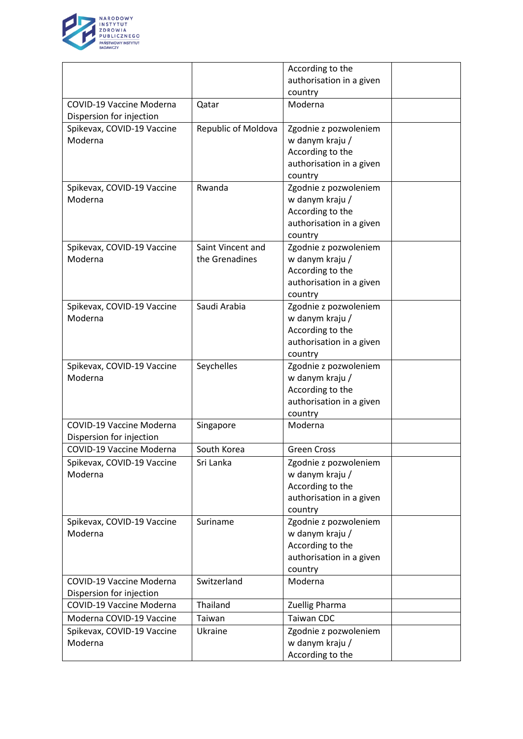

|                                 |                     | According to the         |  |
|---------------------------------|---------------------|--------------------------|--|
|                                 |                     | authorisation in a given |  |
|                                 |                     | country                  |  |
| COVID-19 Vaccine Moderna        | Qatar               | Moderna                  |  |
| Dispersion for injection        |                     |                          |  |
| Spikevax, COVID-19 Vaccine      | Republic of Moldova | Zgodnie z pozwoleniem    |  |
| Moderna                         |                     | w danym kraju /          |  |
|                                 |                     | According to the         |  |
|                                 |                     | authorisation in a given |  |
|                                 |                     | country                  |  |
| Spikevax, COVID-19 Vaccine      | Rwanda              | Zgodnie z pozwoleniem    |  |
| Moderna                         |                     | w danym kraju /          |  |
|                                 |                     | According to the         |  |
|                                 |                     | authorisation in a given |  |
|                                 |                     | country                  |  |
| Spikevax, COVID-19 Vaccine      | Saint Vincent and   | Zgodnie z pozwoleniem    |  |
| Moderna                         | the Grenadines      | w danym kraju /          |  |
|                                 |                     | According to the         |  |
|                                 |                     | authorisation in a given |  |
|                                 |                     | country                  |  |
| Spikevax, COVID-19 Vaccine      | Saudi Arabia        | Zgodnie z pozwoleniem    |  |
| Moderna                         |                     | w danym kraju /          |  |
|                                 |                     | According to the         |  |
|                                 |                     | authorisation in a given |  |
|                                 |                     | country                  |  |
| Spikevax, COVID-19 Vaccine      | Seychelles          | Zgodnie z pozwoleniem    |  |
| Moderna                         |                     | w danym kraju /          |  |
|                                 |                     | According to the         |  |
|                                 |                     | authorisation in a given |  |
|                                 |                     | country                  |  |
| <b>COVID-19 Vaccine Moderna</b> | Singapore           | Moderna                  |  |
| Dispersion for injection        |                     |                          |  |
| COVID-19 Vaccine Moderna        | South Korea         | <b>Green Cross</b>       |  |
| Spikevax, COVID-19 Vaccine      | Sri Lanka           | Zgodnie z pozwoleniem    |  |
| Moderna                         |                     | w danym kraju /          |  |
|                                 |                     | According to the         |  |
|                                 |                     | authorisation in a given |  |
|                                 |                     | country                  |  |
| Spikevax, COVID-19 Vaccine      | Suriname            | Zgodnie z pozwoleniem    |  |
| Moderna                         |                     | w danym kraju /          |  |
|                                 |                     | According to the         |  |
|                                 |                     | authorisation in a given |  |
|                                 |                     | country                  |  |
| COVID-19 Vaccine Moderna        | Switzerland         | Moderna                  |  |
| Dispersion for injection        |                     |                          |  |
| COVID-19 Vaccine Moderna        | Thailand            | Zuellig Pharma           |  |
| Moderna COVID-19 Vaccine        | Taiwan              | <b>Taiwan CDC</b>        |  |
| Spikevax, COVID-19 Vaccine      | Ukraine             | Zgodnie z pozwoleniem    |  |
| Moderna                         |                     | w danym kraju /          |  |
|                                 |                     | According to the         |  |
|                                 |                     |                          |  |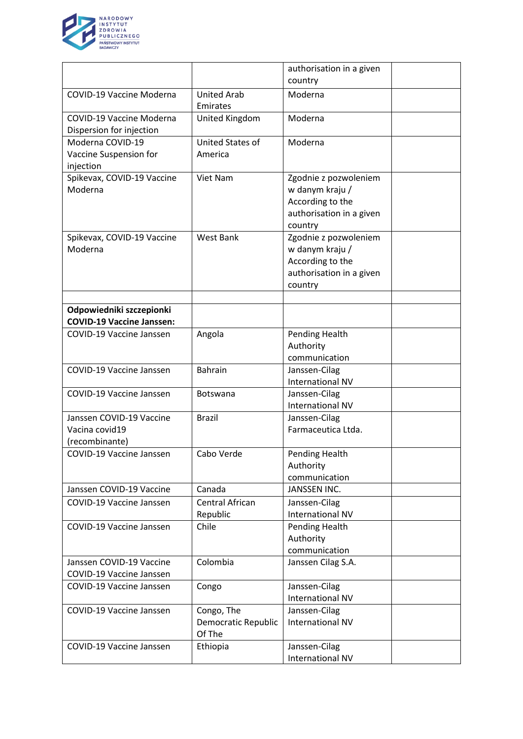

|                                                              |                                             | authorisation in a given                                                                            |  |
|--------------------------------------------------------------|---------------------------------------------|-----------------------------------------------------------------------------------------------------|--|
|                                                              |                                             | country                                                                                             |  |
| <b>COVID-19 Vaccine Moderna</b>                              | <b>United Arab</b><br>Emirates              | Moderna                                                                                             |  |
| <b>COVID-19 Vaccine Moderna</b><br>Dispersion for injection  | United Kingdom                              | Moderna                                                                                             |  |
| Moderna COVID-19                                             | <b>United States of</b>                     | Moderna                                                                                             |  |
| Vaccine Suspension for<br>injection                          | America                                     |                                                                                                     |  |
| Spikevax, COVID-19 Vaccine<br>Moderna                        | Viet Nam                                    | Zgodnie z pozwoleniem<br>w danym kraju /<br>According to the<br>authorisation in a given<br>country |  |
| Spikevax, COVID-19 Vaccine<br>Moderna                        | <b>West Bank</b>                            | Zgodnie z pozwoleniem<br>w danym kraju /<br>According to the<br>authorisation in a given<br>country |  |
| Odpowiedniki szczepionki                                     |                                             |                                                                                                     |  |
| <b>COVID-19 Vaccine Janssen:</b>                             |                                             |                                                                                                     |  |
| COVID-19 Vaccine Janssen                                     | Angola                                      | Pending Health<br>Authority                                                                         |  |
|                                                              |                                             | communication                                                                                       |  |
| COVID-19 Vaccine Janssen                                     | <b>Bahrain</b>                              | Janssen-Cilag<br><b>International NV</b>                                                            |  |
| <b>COVID-19 Vaccine Janssen</b>                              | <b>Botswana</b>                             | Janssen-Cilag<br><b>International NV</b>                                                            |  |
| Janssen COVID-19 Vaccine<br>Vacina covid19<br>(recombinante) | <b>Brazil</b>                               | Janssen-Cilag<br>Farmaceutica Ltda.                                                                 |  |
| COVID-19 Vaccine Janssen                                     | Cabo Verde                                  | Pending Health<br>Authority<br>communication                                                        |  |
| Janssen COVID-19 Vaccine                                     | Canada                                      | <b>JANSSEN INC.</b>                                                                                 |  |
| COVID-19 Vaccine Janssen                                     | Central African<br>Republic                 | Janssen-Cilag<br>International NV                                                                   |  |
| <b>COVID-19 Vaccine Janssen</b>                              | Chile                                       | Pending Health<br>Authority<br>communication                                                        |  |
| Janssen COVID-19 Vaccine                                     | Colombia                                    | Janssen Cilag S.A.                                                                                  |  |
| COVID-19 Vaccine Janssen                                     |                                             |                                                                                                     |  |
| COVID-19 Vaccine Janssen                                     | Congo                                       | Janssen-Cilag<br><b>International NV</b>                                                            |  |
| COVID-19 Vaccine Janssen                                     | Congo, The<br>Democratic Republic<br>Of The | Janssen-Cilag<br><b>International NV</b>                                                            |  |
| COVID-19 Vaccine Janssen                                     | Ethiopia                                    | Janssen-Cilag<br><b>International NV</b>                                                            |  |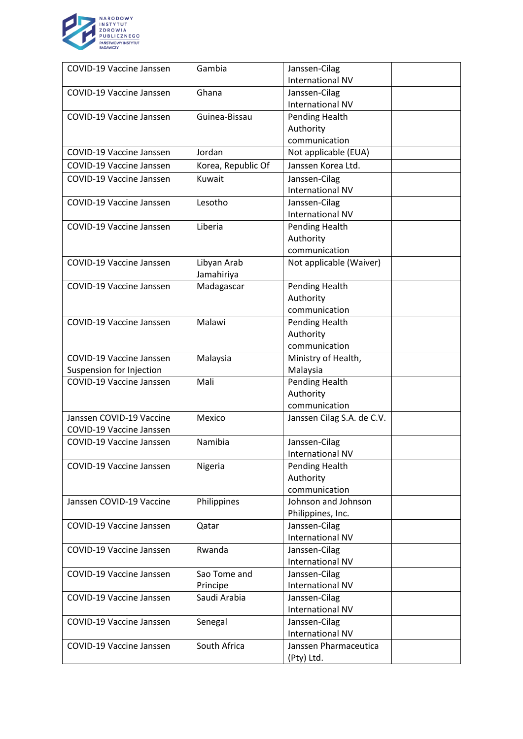

| <b>COVID-19 Vaccine Janssen</b> | Gambia             | Janssen-Cilag              |
|---------------------------------|--------------------|----------------------------|
|                                 |                    | <b>International NV</b>    |
| COVID-19 Vaccine Janssen        | Ghana              | Janssen-Cilag              |
|                                 |                    | <b>International NV</b>    |
| COVID-19 Vaccine Janssen        | Guinea-Bissau      | Pending Health             |
|                                 |                    | Authority                  |
|                                 |                    | communication              |
| <b>COVID-19 Vaccine Janssen</b> | Jordan             | Not applicable (EUA)       |
| <b>COVID-19 Vaccine Janssen</b> | Korea, Republic Of | Janssen Korea Ltd.         |
| <b>COVID-19 Vaccine Janssen</b> | Kuwait             | Janssen-Cilag              |
|                                 |                    | <b>International NV</b>    |
| <b>COVID-19 Vaccine Janssen</b> | Lesotho            | Janssen-Cilag              |
|                                 |                    | <b>International NV</b>    |
| <b>COVID-19 Vaccine Janssen</b> | Liberia            | Pending Health             |
|                                 |                    | Authority                  |
|                                 |                    | communication              |
| COVID-19 Vaccine Janssen        | Libyan Arab        | Not applicable (Waiver)    |
|                                 | Jamahiriya         |                            |
| <b>COVID-19 Vaccine Janssen</b> | Madagascar         | Pending Health             |
|                                 |                    | Authority                  |
|                                 |                    | communication              |
| <b>COVID-19 Vaccine Janssen</b> | Malawi             | Pending Health             |
|                                 |                    | Authority                  |
|                                 |                    | communication              |
| <b>COVID-19 Vaccine Janssen</b> | Malaysia           | Ministry of Health,        |
| Suspension for Injection        |                    | Malaysia                   |
| <b>COVID-19 Vaccine Janssen</b> | Mali               | <b>Pending Health</b>      |
|                                 |                    | Authority                  |
|                                 |                    | communication              |
| Janssen COVID-19 Vaccine        | Mexico             | Janssen Cilag S.A. de C.V. |
| COVID-19 Vaccine Janssen        |                    |                            |
| COVID-19 Vaccine Janssen        | Namibia            | Janssen-Cilag              |
|                                 |                    | International NV           |
| COVID-19 Vaccine Janssen        | Nigeria            | Pending Health             |
|                                 |                    | Authority                  |
|                                 |                    | communication              |
| Janssen COVID-19 Vaccine        | Philippines        | Johnson and Johnson        |
|                                 |                    | Philippines, Inc.          |
| COVID-19 Vaccine Janssen        | Qatar              | Janssen-Cilag              |
|                                 |                    | International NV           |
| <b>COVID-19 Vaccine Janssen</b> | Rwanda             | Janssen-Cilag              |
|                                 |                    | <b>International NV</b>    |
| COVID-19 Vaccine Janssen        | Sao Tome and       | Janssen-Cilag              |
|                                 | Principe           | <b>International NV</b>    |
| <b>COVID-19 Vaccine Janssen</b> | Saudi Arabia       | Janssen-Cilag              |
|                                 |                    | <b>International NV</b>    |
| COVID-19 Vaccine Janssen        | Senegal            | Janssen-Cilag              |
|                                 |                    | <b>International NV</b>    |
| COVID-19 Vaccine Janssen        | South Africa       | Janssen Pharmaceutica      |
|                                 |                    | (Pty) Ltd.                 |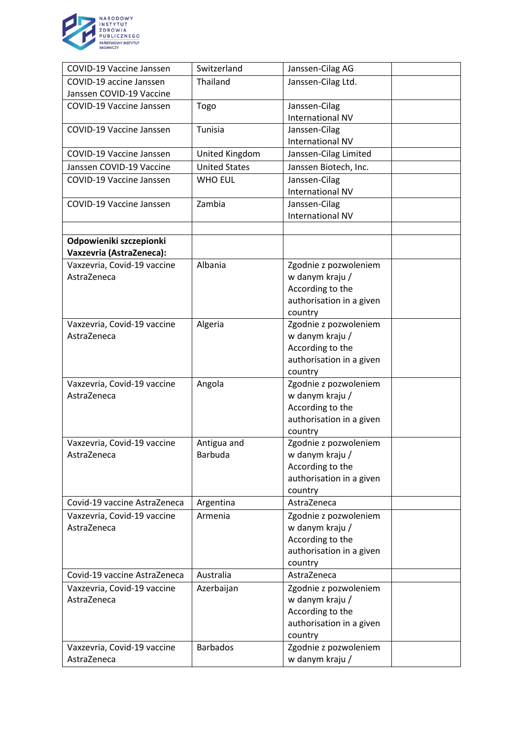

| COVID-19 Vaccine Janssen                   | Switzerland           | Janssen-Cilag AG                         |  |
|--------------------------------------------|-----------------------|------------------------------------------|--|
| COVID-19 accine Janssen                    | Thailand              | Janssen-Cilag Ltd.                       |  |
| Janssen COVID-19 Vaccine                   |                       |                                          |  |
| <b>COVID-19 Vaccine Janssen</b>            | Togo                  | Janssen-Cilag                            |  |
|                                            |                       | <b>International NV</b>                  |  |
| <b>COVID-19 Vaccine Janssen</b>            | Tunisia               | Janssen-Cilag                            |  |
|                                            |                       | International NV                         |  |
| COVID-19 Vaccine Janssen                   | <b>United Kingdom</b> | Janssen-Cilag Limited                    |  |
| Janssen COVID-19 Vaccine                   | <b>United States</b>  | Janssen Biotech, Inc.                    |  |
| COVID-19 Vaccine Janssen                   | <b>WHO EUL</b>        | Janssen-Cilag                            |  |
|                                            |                       | <b>International NV</b>                  |  |
| COVID-19 Vaccine Janssen                   | Zambia                | Janssen-Cilag                            |  |
|                                            |                       | <b>International NV</b>                  |  |
|                                            |                       |                                          |  |
| Odpowieniki szczepionki                    |                       |                                          |  |
| <b>Vaxzevria (AstraZeneca):</b>            | Albania               |                                          |  |
| Vaxzevria, Covid-19 vaccine<br>AstraZeneca |                       | Zgodnie z pozwoleniem<br>w danym kraju / |  |
|                                            |                       | According to the                         |  |
|                                            |                       | authorisation in a given                 |  |
|                                            |                       | country                                  |  |
| Vaxzevria, Covid-19 vaccine                | Algeria               | Zgodnie z pozwoleniem                    |  |
| AstraZeneca                                |                       | w danym kraju /                          |  |
|                                            |                       | According to the                         |  |
|                                            |                       | authorisation in a given                 |  |
|                                            |                       | country                                  |  |
| Vaxzevria, Covid-19 vaccine                | Angola                | Zgodnie z pozwoleniem                    |  |
| AstraZeneca                                |                       | w danym kraju /                          |  |
|                                            |                       | According to the                         |  |
|                                            |                       | authorisation in a given                 |  |
|                                            |                       | country                                  |  |
| Vaxzevria, Covid-19 vaccine                | Antigua and           | Zgodnie z pozwoleniem                    |  |
| AstraZeneca                                | <b>Barbuda</b>        | w danym kraju /                          |  |
|                                            |                       | According to the                         |  |
|                                            |                       | authorisation in a given                 |  |
| Covid-19 vaccine AstraZeneca               |                       | country<br>AstraZeneca                   |  |
| Vaxzevria, Covid-19 vaccine                | Argentina<br>Armenia  | Zgodnie z pozwoleniem                    |  |
| AstraZeneca                                |                       | w danym kraju /                          |  |
|                                            |                       | According to the                         |  |
|                                            |                       | authorisation in a given                 |  |
|                                            |                       | country                                  |  |
| Covid-19 vaccine AstraZeneca               | Australia             | AstraZeneca                              |  |
| Vaxzevria, Covid-19 vaccine                | Azerbaijan            | Zgodnie z pozwoleniem                    |  |
| AstraZeneca                                |                       | w danym kraju /                          |  |
|                                            |                       | According to the                         |  |
|                                            |                       | authorisation in a given                 |  |
|                                            |                       | country                                  |  |
| Vaxzevria, Covid-19 vaccine                | <b>Barbados</b>       | Zgodnie z pozwoleniem                    |  |
| AstraZeneca                                |                       | w danym kraju /                          |  |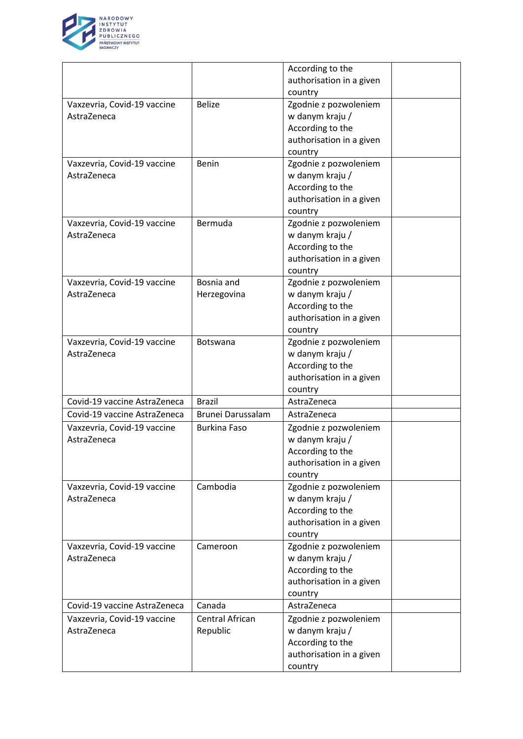

|                              |                          | According to the         |  |
|------------------------------|--------------------------|--------------------------|--|
|                              |                          | authorisation in a given |  |
|                              |                          | country                  |  |
| Vaxzevria, Covid-19 vaccine  | <b>Belize</b>            | Zgodnie z pozwoleniem    |  |
| AstraZeneca                  |                          | w danym kraju /          |  |
|                              |                          | According to the         |  |
|                              |                          | authorisation in a given |  |
|                              |                          | country                  |  |
| Vaxzevria, Covid-19 vaccine  | Benin                    | Zgodnie z pozwoleniem    |  |
| AstraZeneca                  |                          | w danym kraju /          |  |
|                              |                          | According to the         |  |
|                              |                          | authorisation in a given |  |
|                              |                          | country                  |  |
| Vaxzevria, Covid-19 vaccine  | Bermuda                  | Zgodnie z pozwoleniem    |  |
| AstraZeneca                  |                          | w danym kraju /          |  |
|                              |                          | According to the         |  |
|                              |                          | authorisation in a given |  |
|                              |                          | country                  |  |
| Vaxzevria, Covid-19 vaccine  | Bosnia and               | Zgodnie z pozwoleniem    |  |
| AstraZeneca                  | Herzegovina              | w danym kraju /          |  |
|                              |                          | According to the         |  |
|                              |                          | authorisation in a given |  |
|                              |                          | country                  |  |
| Vaxzevria, Covid-19 vaccine  | Botswana                 | Zgodnie z pozwoleniem    |  |
| AstraZeneca                  |                          | w danym kraju /          |  |
|                              |                          | According to the         |  |
|                              |                          | authorisation in a given |  |
|                              |                          | country                  |  |
| Covid-19 vaccine AstraZeneca | <b>Brazil</b>            | AstraZeneca              |  |
| Covid-19 vaccine AstraZeneca | <b>Brunei Darussalam</b> | AstraZeneca              |  |
| Vaxzevria, Covid-19 vaccine  | <b>Burkina Faso</b>      | Zgodnie z pozwoleniem    |  |
| AstraZeneca                  |                          | w danym kraju /          |  |
|                              |                          | According to the         |  |
|                              |                          | authorisation in a given |  |
|                              |                          | country                  |  |
| Vaxzevria, Covid-19 vaccine  | Cambodia                 | Zgodnie z pozwoleniem    |  |
| AstraZeneca                  |                          | w danym kraju /          |  |
|                              |                          | According to the         |  |
|                              |                          | authorisation in a given |  |
|                              |                          | country                  |  |
| Vaxzevria, Covid-19 vaccine  | Cameroon                 | Zgodnie z pozwoleniem    |  |
| AstraZeneca                  |                          | w danym kraju /          |  |
|                              |                          | According to the         |  |
|                              |                          | authorisation in a given |  |
|                              |                          | country                  |  |
| Covid-19 vaccine AstraZeneca | Canada                   | AstraZeneca              |  |
| Vaxzevria, Covid-19 vaccine  | Central African          | Zgodnie z pozwoleniem    |  |
| AstraZeneca                  | Republic                 | w danym kraju /          |  |
|                              |                          | According to the         |  |
|                              |                          | authorisation in a given |  |
|                              |                          |                          |  |
|                              |                          | country                  |  |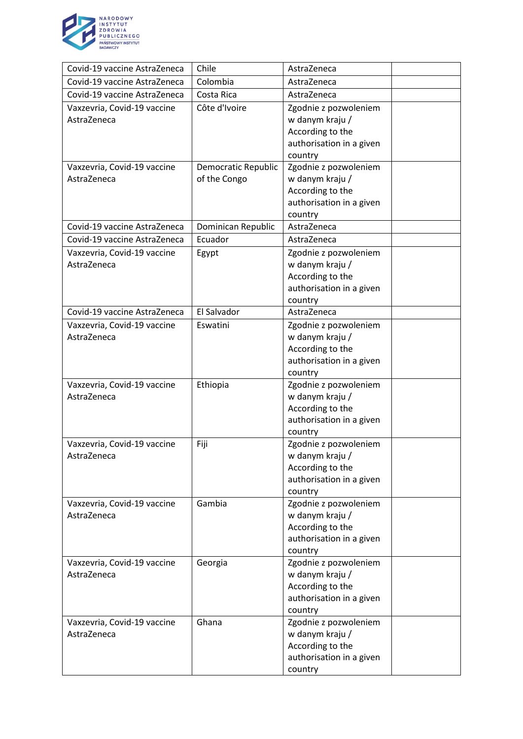

| Covid-19 vaccine AstraZeneca | Chile               | AstraZeneca                         |  |
|------------------------------|---------------------|-------------------------------------|--|
| Covid-19 vaccine AstraZeneca | Colombia            | AstraZeneca                         |  |
| Covid-19 vaccine AstraZeneca | Costa Rica          | AstraZeneca                         |  |
| Vaxzevria, Covid-19 vaccine  | Côte d'Ivoire       | Zgodnie z pozwoleniem               |  |
| AstraZeneca                  |                     | w danym kraju /                     |  |
|                              |                     | According to the                    |  |
|                              |                     | authorisation in a given            |  |
|                              |                     | country                             |  |
| Vaxzevria, Covid-19 vaccine  | Democratic Republic | Zgodnie z pozwoleniem               |  |
| AstraZeneca                  | of the Congo        | w danym kraju /                     |  |
|                              |                     | According to the                    |  |
|                              |                     | authorisation in a given            |  |
|                              |                     | country                             |  |
| Covid-19 vaccine AstraZeneca | Dominican Republic  | AstraZeneca                         |  |
| Covid-19 vaccine AstraZeneca | Ecuador             | AstraZeneca                         |  |
| Vaxzevria, Covid-19 vaccine  | Egypt               | Zgodnie z pozwoleniem               |  |
| AstraZeneca                  |                     | w danym kraju /                     |  |
|                              |                     | According to the                    |  |
|                              |                     | authorisation in a given            |  |
|                              |                     | country                             |  |
| Covid-19 vaccine AstraZeneca | El Salvador         | AstraZeneca                         |  |
| Vaxzevria, Covid-19 vaccine  | Eswatini            | Zgodnie z pozwoleniem               |  |
| AstraZeneca                  |                     | w danym kraju /                     |  |
|                              |                     | According to the                    |  |
|                              |                     | authorisation in a given            |  |
|                              |                     | country                             |  |
| Vaxzevria, Covid-19 vaccine  | Ethiopia            | Zgodnie z pozwoleniem               |  |
| AstraZeneca                  |                     | w danym kraju /<br>According to the |  |
|                              |                     | authorisation in a given            |  |
|                              |                     | country                             |  |
| Vaxzevria, Covid-19 vaccine  | Fiji                | Zgodnie z pozwoleniem               |  |
| AstraZeneca                  |                     | w danym kraju $/$                   |  |
|                              |                     | According to the                    |  |
|                              |                     | authorisation in a given            |  |
|                              |                     | country                             |  |
| Vaxzevria, Covid-19 vaccine  | Gambia              | Zgodnie z pozwoleniem               |  |
| AstraZeneca                  |                     | w danym kraju /                     |  |
|                              |                     | According to the                    |  |
|                              |                     | authorisation in a given            |  |
|                              |                     | country                             |  |
| Vaxzevria, Covid-19 vaccine  | Georgia             | Zgodnie z pozwoleniem               |  |
| AstraZeneca                  |                     | w danym kraju /                     |  |
|                              |                     | According to the                    |  |
|                              |                     | authorisation in a given            |  |
|                              |                     | country                             |  |
| Vaxzevria, Covid-19 vaccine  | Ghana               | Zgodnie z pozwoleniem               |  |
| AstraZeneca                  |                     | w danym kraju /                     |  |
|                              |                     | According to the                    |  |
|                              |                     | authorisation in a given            |  |
|                              |                     | country                             |  |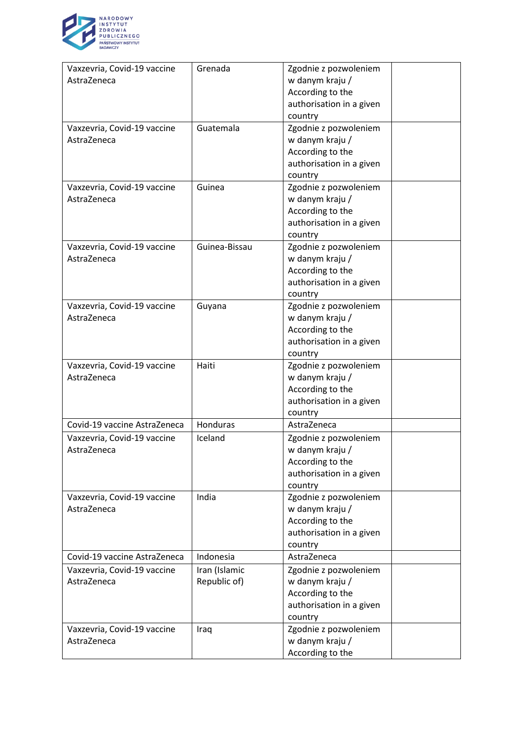

| Vaxzevria, Covid-19 vaccine<br>AstraZeneca | Grenada                       | Zgodnie z pozwoleniem<br>w danym kraju /<br>According to the<br>authorisation in a given                       |  |
|--------------------------------------------|-------------------------------|----------------------------------------------------------------------------------------------------------------|--|
| Vaxzevria, Covid-19 vaccine<br>AstraZeneca | Guatemala                     | country<br>Zgodnie z pozwoleniem<br>w danym kraju /<br>According to the<br>authorisation in a given<br>country |  |
| Vaxzevria, Covid-19 vaccine<br>AstraZeneca | Guinea                        | Zgodnie z pozwoleniem<br>w danym kraju /<br>According to the<br>authorisation in a given<br>country            |  |
| Vaxzevria, Covid-19 vaccine<br>AstraZeneca | Guinea-Bissau                 | Zgodnie z pozwoleniem<br>w danym kraju /<br>According to the<br>authorisation in a given<br>country            |  |
| Vaxzevria, Covid-19 vaccine<br>AstraZeneca | Guyana                        | Zgodnie z pozwoleniem<br>w danym kraju /<br>According to the<br>authorisation in a given<br>country            |  |
| Vaxzevria, Covid-19 vaccine<br>AstraZeneca | Haiti                         | Zgodnie z pozwoleniem<br>w danym kraju /<br>According to the<br>authorisation in a given<br>country            |  |
| Covid-19 vaccine AstraZeneca               | Honduras                      | AstraZeneca                                                                                                    |  |
| Vaxzevria, Covid-19 vaccine<br>AstraZeneca | Iceland                       | Zgodnie z pozwoleniem<br>w danym kraju /<br>According to the<br>authorisation in a given<br>country            |  |
| Vaxzevria, Covid-19 vaccine<br>AstraZeneca | India                         | Zgodnie z pozwoleniem<br>w danym kraju /<br>According to the<br>authorisation in a given<br>country            |  |
| Covid-19 vaccine AstraZeneca               | Indonesia                     | AstraZeneca                                                                                                    |  |
| Vaxzevria, Covid-19 vaccine<br>AstraZeneca | Iran (Islamic<br>Republic of) | Zgodnie z pozwoleniem<br>w danym kraju /<br>According to the<br>authorisation in a given<br>country            |  |
| Vaxzevria, Covid-19 vaccine<br>AstraZeneca | Iraq                          | Zgodnie z pozwoleniem<br>w danym kraju /<br>According to the                                                   |  |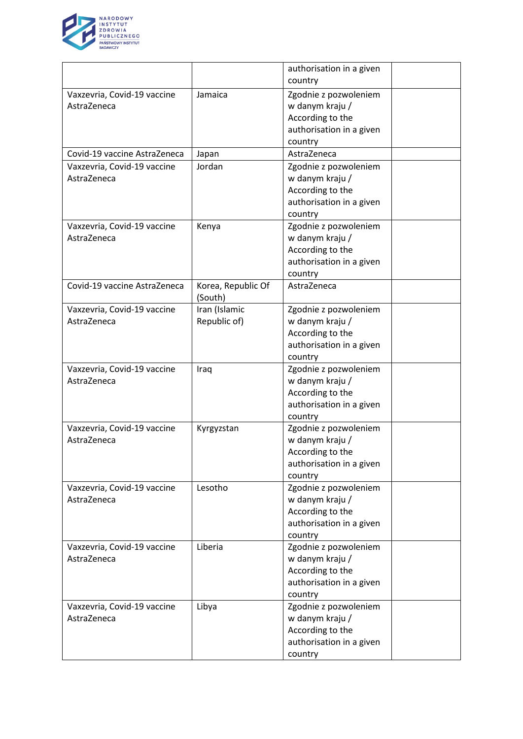

|                              |                    | authorisation in a given |  |
|------------------------------|--------------------|--------------------------|--|
|                              |                    | country                  |  |
| Vaxzevria, Covid-19 vaccine  | Jamaica            | Zgodnie z pozwoleniem    |  |
| AstraZeneca                  |                    | w danym kraju /          |  |
|                              |                    | According to the         |  |
|                              |                    | authorisation in a given |  |
|                              |                    | country                  |  |
| Covid-19 vaccine AstraZeneca | Japan              | AstraZeneca              |  |
| Vaxzevria, Covid-19 vaccine  | Jordan             | Zgodnie z pozwoleniem    |  |
| AstraZeneca                  |                    | w danym kraju /          |  |
|                              |                    | According to the         |  |
|                              |                    | authorisation in a given |  |
|                              |                    | country                  |  |
| Vaxzevria, Covid-19 vaccine  | Kenya              | Zgodnie z pozwoleniem    |  |
| AstraZeneca                  |                    | w danym kraju /          |  |
|                              |                    | According to the         |  |
|                              |                    | authorisation in a given |  |
|                              |                    | country                  |  |
| Covid-19 vaccine AstraZeneca | Korea, Republic Of | AstraZeneca              |  |
|                              | (South)            |                          |  |
| Vaxzevria, Covid-19 vaccine  | Iran (Islamic      | Zgodnie z pozwoleniem    |  |
| AstraZeneca                  | Republic of)       | w danym kraju /          |  |
|                              |                    | According to the         |  |
|                              |                    | authorisation in a given |  |
|                              |                    | country                  |  |
| Vaxzevria, Covid-19 vaccine  | Iraq               | Zgodnie z pozwoleniem    |  |
| AstraZeneca                  |                    | w danym kraju /          |  |
|                              |                    | According to the         |  |
|                              |                    | authorisation in a given |  |
|                              |                    | country                  |  |
| Vaxzevria, Covid-19 vaccine  | Kyrgyzstan         | Zgodnie z pozwoleniem    |  |
| AstraZeneca                  |                    | w danym kraju /          |  |
|                              |                    | According to the         |  |
|                              |                    | authorisation in a given |  |
|                              |                    | country                  |  |
| Vaxzevria, Covid-19 vaccine  | Lesotho            | Zgodnie z pozwoleniem    |  |
| AstraZeneca                  |                    | w danym kraju /          |  |
|                              |                    | According to the         |  |
|                              |                    | authorisation in a given |  |
|                              |                    | country                  |  |
| Vaxzevria, Covid-19 vaccine  | Liberia            | Zgodnie z pozwoleniem    |  |
| AstraZeneca                  |                    | w danym kraju /          |  |
|                              |                    | According to the         |  |
|                              |                    | authorisation in a given |  |
|                              |                    | country                  |  |
| Vaxzevria, Covid-19 vaccine  | Libya              | Zgodnie z pozwoleniem    |  |
| AstraZeneca                  |                    | w danym kraju /          |  |
|                              |                    | According to the         |  |
|                              |                    | authorisation in a given |  |
|                              |                    | country                  |  |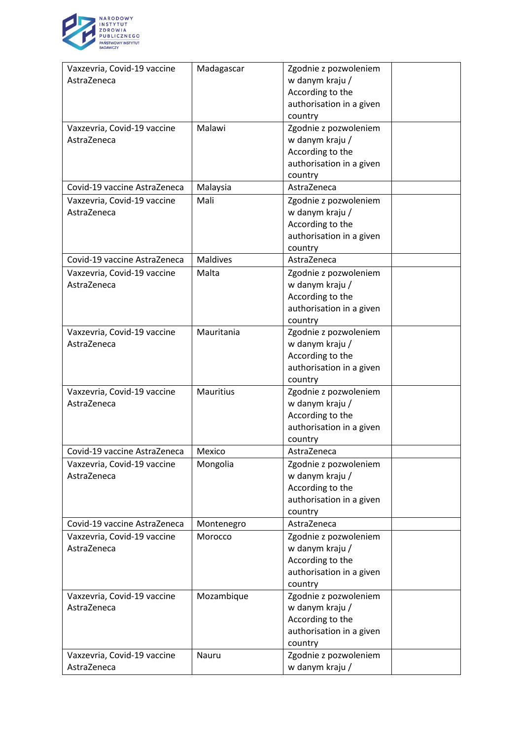

| Vaxzevria, Covid-19 vaccine  | Madagascar       | Zgodnie z pozwoleniem    |  |
|------------------------------|------------------|--------------------------|--|
| AstraZeneca                  |                  | w danym kraju /          |  |
|                              |                  | According to the         |  |
|                              |                  | authorisation in a given |  |
|                              |                  | country                  |  |
| Vaxzevria, Covid-19 vaccine  | Malawi           | Zgodnie z pozwoleniem    |  |
| AstraZeneca                  |                  | w danym kraju /          |  |
|                              |                  | According to the         |  |
|                              |                  | authorisation in a given |  |
|                              |                  | country                  |  |
| Covid-19 vaccine AstraZeneca | Malaysia         | AstraZeneca              |  |
| Vaxzevria, Covid-19 vaccine  | Mali             | Zgodnie z pozwoleniem    |  |
| AstraZeneca                  |                  | w danym kraju /          |  |
|                              |                  | According to the         |  |
|                              |                  | authorisation in a given |  |
|                              |                  | country                  |  |
| Covid-19 vaccine AstraZeneca | <b>Maldives</b>  | AstraZeneca              |  |
| Vaxzevria, Covid-19 vaccine  | Malta            | Zgodnie z pozwoleniem    |  |
| AstraZeneca                  |                  | w danym kraju /          |  |
|                              |                  | According to the         |  |
|                              |                  | authorisation in a given |  |
|                              |                  | country                  |  |
| Vaxzevria, Covid-19 vaccine  | Mauritania       | Zgodnie z pozwoleniem    |  |
| AstraZeneca                  |                  | w danym kraju /          |  |
|                              |                  | According to the         |  |
|                              |                  | authorisation in a given |  |
|                              |                  | country                  |  |
| Vaxzevria, Covid-19 vaccine  | <b>Mauritius</b> | Zgodnie z pozwoleniem    |  |
| AstraZeneca                  |                  | w danym kraju /          |  |
|                              |                  | According to the         |  |
|                              |                  | authorisation in a given |  |
|                              |                  | country                  |  |
| Covid-19 vaccine AstraZeneca | Mexico           | AstraZeneca              |  |
| Vaxzevria, Covid-19 vaccine  | Mongolia         | Zgodnie z pozwoleniem    |  |
| AstraZeneca                  |                  | w danym kraju /          |  |
|                              |                  | According to the         |  |
|                              |                  | authorisation in a given |  |
|                              |                  | country                  |  |
| Covid-19 vaccine AstraZeneca | Montenegro       | AstraZeneca              |  |
| Vaxzevria, Covid-19 vaccine  | Morocco          | Zgodnie z pozwoleniem    |  |
| AstraZeneca                  |                  | w danym kraju /          |  |
|                              |                  | According to the         |  |
|                              |                  | authorisation in a given |  |
|                              |                  | country                  |  |
| Vaxzevria, Covid-19 vaccine  | Mozambique       | Zgodnie z pozwoleniem    |  |
| AstraZeneca                  |                  | w danym kraju /          |  |
|                              |                  | According to the         |  |
|                              |                  | authorisation in a given |  |
|                              |                  | country                  |  |
| Vaxzevria, Covid-19 vaccine  | Nauru            | Zgodnie z pozwoleniem    |  |
| AstraZeneca                  |                  | w danym kraju /          |  |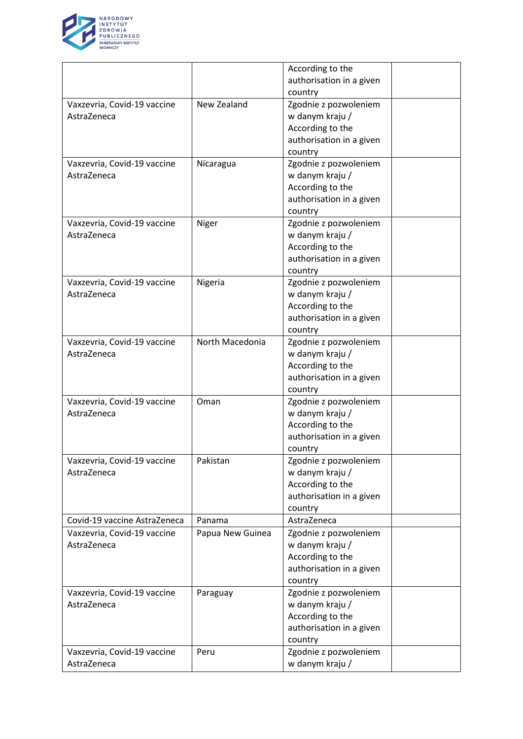

|                              |                  | According to the         |  |
|------------------------------|------------------|--------------------------|--|
|                              |                  | authorisation in a given |  |
|                              |                  | country                  |  |
| Vaxzevria, Covid-19 vaccine  | New Zealand      | Zgodnie z pozwoleniem    |  |
| AstraZeneca                  |                  | w danym kraju /          |  |
|                              |                  | According to the         |  |
|                              |                  | authorisation in a given |  |
|                              |                  | country                  |  |
| Vaxzevria, Covid-19 vaccine  | Nicaragua        | Zgodnie z pozwoleniem    |  |
| AstraZeneca                  |                  | w danym kraju /          |  |
|                              |                  | According to the         |  |
|                              |                  | authorisation in a given |  |
|                              |                  | country                  |  |
| Vaxzevria, Covid-19 vaccine  | Niger            | Zgodnie z pozwoleniem    |  |
| AstraZeneca                  |                  | w danym kraju /          |  |
|                              |                  |                          |  |
|                              |                  | According to the         |  |
|                              |                  | authorisation in a given |  |
|                              |                  | country                  |  |
| Vaxzevria, Covid-19 vaccine  | Nigeria          | Zgodnie z pozwoleniem    |  |
| AstraZeneca                  |                  | w danym kraju /          |  |
|                              |                  | According to the         |  |
|                              |                  | authorisation in a given |  |
|                              |                  | country                  |  |
| Vaxzevria, Covid-19 vaccine  | North Macedonia  | Zgodnie z pozwoleniem    |  |
| AstraZeneca                  |                  | w danym kraju /          |  |
|                              |                  | According to the         |  |
|                              |                  | authorisation in a given |  |
|                              |                  | country                  |  |
| Vaxzevria, Covid-19 vaccine  | Oman             | Zgodnie z pozwoleniem    |  |
| AstraZeneca                  |                  | w danym kraju /          |  |
|                              |                  | According to the         |  |
|                              |                  | authorisation in a given |  |
|                              |                  | country                  |  |
| Vaxzevria, Covid-19 vaccine  | Pakistan         | Zgodnie z pozwoleniem    |  |
| AstraZeneca                  |                  | w danym kraju /          |  |
|                              |                  | According to the         |  |
|                              |                  | authorisation in a given |  |
|                              |                  | country                  |  |
| Covid-19 vaccine AstraZeneca | Panama           | AstraZeneca              |  |
|                              |                  |                          |  |
| Vaxzevria, Covid-19 vaccine  | Papua New Guinea | Zgodnie z pozwoleniem    |  |
| AstraZeneca                  |                  | w danym kraju /          |  |
|                              |                  | According to the         |  |
|                              |                  | authorisation in a given |  |
|                              |                  | country                  |  |
| Vaxzevria, Covid-19 vaccine  | Paraguay         | Zgodnie z pozwoleniem    |  |
| AstraZeneca                  |                  | w danym kraju /          |  |
|                              |                  | According to the         |  |
|                              |                  | authorisation in a given |  |
|                              |                  | country                  |  |
| Vaxzevria, Covid-19 vaccine  | Peru             | Zgodnie z pozwoleniem    |  |
| AstraZeneca                  |                  | w danym kraju /          |  |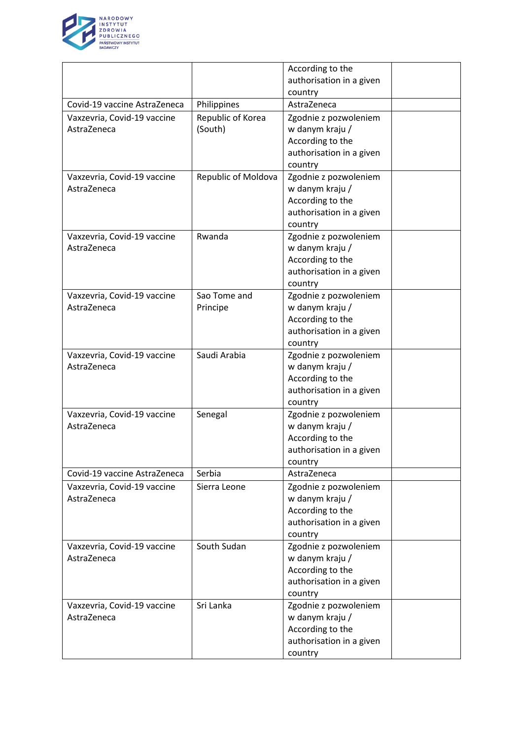

|                                            |                     | According to the                         |  |
|--------------------------------------------|---------------------|------------------------------------------|--|
|                                            |                     | authorisation in a given                 |  |
|                                            |                     | country                                  |  |
| Covid-19 vaccine AstraZeneca               | Philippines         | AstraZeneca                              |  |
| Vaxzevria, Covid-19 vaccine                | Republic of Korea   | Zgodnie z pozwoleniem                    |  |
| AstraZeneca                                | (South)             | w danym kraju /                          |  |
|                                            |                     | According to the                         |  |
|                                            |                     | authorisation in a given                 |  |
|                                            |                     | country                                  |  |
| Vaxzevria, Covid-19 vaccine                | Republic of Moldova | Zgodnie z pozwoleniem                    |  |
| AstraZeneca                                |                     | w danym kraju /                          |  |
|                                            |                     | According to the                         |  |
|                                            |                     | authorisation in a given                 |  |
|                                            |                     | country                                  |  |
| Vaxzevria, Covid-19 vaccine                | Rwanda              | Zgodnie z pozwoleniem                    |  |
| AstraZeneca                                |                     | w danym kraju /                          |  |
|                                            |                     | According to the                         |  |
|                                            |                     | authorisation in a given                 |  |
|                                            |                     | country                                  |  |
| Vaxzevria, Covid-19 vaccine                | Sao Tome and        | Zgodnie z pozwoleniem                    |  |
| AstraZeneca                                | Principe            | w danym kraju /                          |  |
|                                            |                     | According to the                         |  |
|                                            |                     | authorisation in a given                 |  |
|                                            |                     | country                                  |  |
| Vaxzevria, Covid-19 vaccine                | Saudi Arabia        | Zgodnie z pozwoleniem                    |  |
| AstraZeneca                                |                     | w danym kraju /                          |  |
|                                            |                     | According to the                         |  |
|                                            |                     | authorisation in a given                 |  |
|                                            |                     | country                                  |  |
| Vaxzevria, Covid-19 vaccine                | Senegal             | Zgodnie z pozwoleniem                    |  |
| AstraZeneca                                |                     | w danym kraju /                          |  |
|                                            |                     | According to the                         |  |
|                                            |                     | authorisation in a given                 |  |
|                                            |                     | country                                  |  |
| Covid-19 vaccine AstraZeneca               | Serbia              | AstraZeneca                              |  |
| Vaxzevria, Covid-19 vaccine                | Sierra Leone        | Zgodnie z pozwoleniem                    |  |
| AstraZeneca                                |                     | w danym kraju /                          |  |
|                                            |                     | According to the                         |  |
|                                            |                     |                                          |  |
|                                            |                     | authorisation in a given                 |  |
|                                            | South Sudan         | country                                  |  |
| Vaxzevria, Covid-19 vaccine<br>AstraZeneca |                     | Zgodnie z pozwoleniem<br>w danym kraju / |  |
|                                            |                     |                                          |  |
|                                            |                     | According to the                         |  |
|                                            |                     | authorisation in a given                 |  |
|                                            |                     | country                                  |  |
| Vaxzevria, Covid-19 vaccine                | Sri Lanka           | Zgodnie z pozwoleniem                    |  |
| AstraZeneca                                |                     | w danym kraju /                          |  |
|                                            |                     | According to the                         |  |
|                                            |                     | authorisation in a given                 |  |
|                                            |                     | country                                  |  |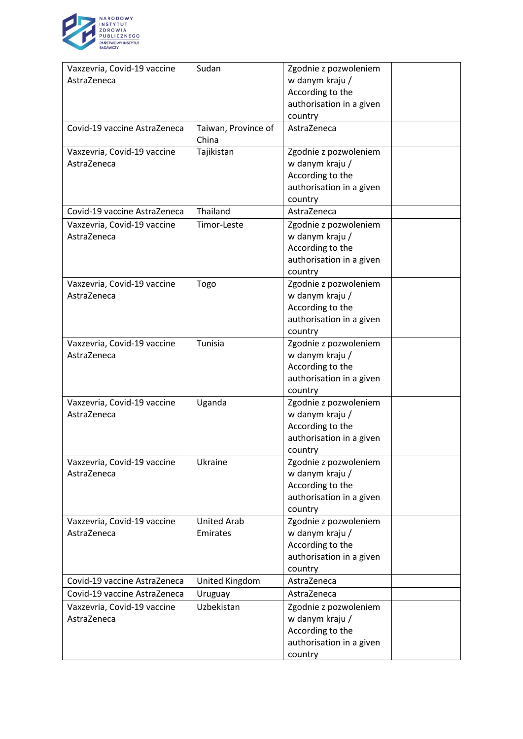

| Vaxzevria, Covid-19 vaccine  | Sudan               | Zgodnie z pozwoleniem    |  |
|------------------------------|---------------------|--------------------------|--|
| AstraZeneca                  |                     | w danym kraju /          |  |
|                              |                     | According to the         |  |
|                              |                     | authorisation in a given |  |
|                              |                     | country                  |  |
| Covid-19 vaccine AstraZeneca | Taiwan, Province of | AstraZeneca              |  |
|                              | China               |                          |  |
| Vaxzevria, Covid-19 vaccine  | Tajikistan          | Zgodnie z pozwoleniem    |  |
| AstraZeneca                  |                     | w danym kraju /          |  |
|                              |                     | According to the         |  |
|                              |                     | authorisation in a given |  |
|                              |                     | country                  |  |
| Covid-19 vaccine AstraZeneca | Thailand            | AstraZeneca              |  |
| Vaxzevria, Covid-19 vaccine  | Timor-Leste         | Zgodnie z pozwoleniem    |  |
| AstraZeneca                  |                     | w danym kraju /          |  |
|                              |                     | According to the         |  |
|                              |                     | authorisation in a given |  |
|                              |                     | country                  |  |
| Vaxzevria, Covid-19 vaccine  | Togo                | Zgodnie z pozwoleniem    |  |
| AstraZeneca                  |                     | w danym kraju /          |  |
|                              |                     | According to the         |  |
|                              |                     | authorisation in a given |  |
|                              |                     | country                  |  |
| Vaxzevria, Covid-19 vaccine  | Tunisia             | Zgodnie z pozwoleniem    |  |
| AstraZeneca                  |                     | w danym kraju /          |  |
|                              |                     | According to the         |  |
|                              |                     | authorisation in a given |  |
|                              |                     | country                  |  |
| Vaxzevria, Covid-19 vaccine  | Uganda              | Zgodnie z pozwoleniem    |  |
| AstraZeneca                  |                     | w danym kraju /          |  |
|                              |                     | According to the         |  |
|                              |                     | authorisation in a given |  |
|                              |                     | country                  |  |
| Vaxzevria, Covid-19 vaccine  | Ukraine             | Zgodnie z pozwoleniem    |  |
| AstraZeneca                  |                     | w danym kraju /          |  |
|                              |                     | According to the         |  |
|                              |                     | authorisation in a given |  |
|                              |                     | country                  |  |
| Vaxzevria, Covid-19 vaccine  | <b>United Arab</b>  | Zgodnie z pozwoleniem    |  |
| AstraZeneca                  | Emirates            | w danym kraju /          |  |
|                              |                     | According to the         |  |
|                              |                     | authorisation in a given |  |
|                              |                     | country                  |  |
| Covid-19 vaccine AstraZeneca | United Kingdom      | AstraZeneca              |  |
| Covid-19 vaccine AstraZeneca | Uruguay             | AstraZeneca              |  |
| Vaxzevria, Covid-19 vaccine  | Uzbekistan          | Zgodnie z pozwoleniem    |  |
| AstraZeneca                  |                     | w danym kraju /          |  |
|                              |                     | According to the         |  |
|                              |                     | authorisation in a given |  |
|                              |                     | country                  |  |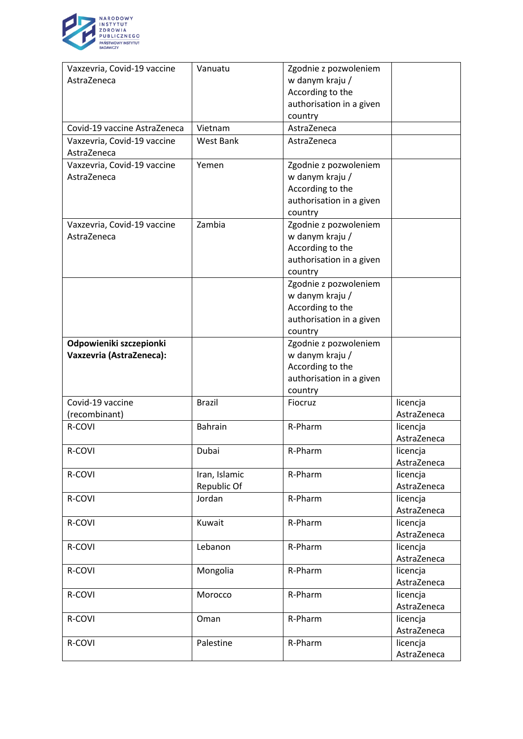

| Vaxzevria, Covid-19 vaccine                | Vanuatu        | Zgodnie z pozwoleniem    |             |
|--------------------------------------------|----------------|--------------------------|-------------|
| AstraZeneca                                |                | w danym kraju /          |             |
|                                            |                | According to the         |             |
|                                            |                | authorisation in a given |             |
|                                            |                | country                  |             |
| Covid-19 vaccine AstraZeneca               | Vietnam        | AstraZeneca              |             |
| Vaxzevria, Covid-19 vaccine<br>AstraZeneca | West Bank      | AstraZeneca              |             |
| Vaxzevria, Covid-19 vaccine                | Yemen          | Zgodnie z pozwoleniem    |             |
| AstraZeneca                                |                | w danym kraju /          |             |
|                                            |                | According to the         |             |
|                                            |                | authorisation in a given |             |
|                                            |                | country                  |             |
| Vaxzevria, Covid-19 vaccine                | Zambia         | Zgodnie z pozwoleniem    |             |
| AstraZeneca                                |                | w danym kraju /          |             |
|                                            |                | According to the         |             |
|                                            |                | authorisation in a given |             |
|                                            |                | country                  |             |
|                                            |                | Zgodnie z pozwoleniem    |             |
|                                            |                | w danym kraju /          |             |
|                                            |                | According to the         |             |
|                                            |                | authorisation in a given |             |
|                                            |                | country                  |             |
| Odpowieniki szczepionki                    |                | Zgodnie z pozwoleniem    |             |
| Vaxzevria (AstraZeneca):                   |                | w danym kraju /          |             |
|                                            |                | According to the         |             |
|                                            |                | authorisation in a given |             |
|                                            |                | country                  |             |
| Covid-19 vaccine                           | <b>Brazil</b>  | Fiocruz                  | licencja    |
| (recombinant)                              |                |                          | AstraZeneca |
| R-COVI                                     | <b>Bahrain</b> | R-Pharm                  | licencja    |
|                                            |                |                          | AstraZeneca |
| R-COVI                                     | Dubai          | R-Pharm                  | licencja    |
|                                            |                |                          | AstraZeneca |
| R-COVI                                     | Iran, Islamic  | R-Pharm                  | licencja    |
|                                            | Republic Of    |                          | AstraZeneca |
| R-COVI                                     | Jordan         | R-Pharm                  | licencja    |
|                                            |                |                          | AstraZeneca |
| R-COVI                                     | Kuwait         | R-Pharm                  | licencja    |
|                                            |                |                          | AstraZeneca |
| R-COVI                                     | Lebanon        | R-Pharm                  | licencja    |
|                                            |                |                          | AstraZeneca |
| R-COVI                                     | Mongolia       | R-Pharm                  | licencja    |
|                                            |                |                          | AstraZeneca |
| R-COVI                                     | Morocco        | R-Pharm                  | licencja    |
|                                            |                |                          | AstraZeneca |
| R-COVI                                     | Oman           | R-Pharm                  | licencja    |
|                                            |                |                          | AstraZeneca |
| R-COVI                                     | Palestine      | R-Pharm                  | licencja    |
|                                            |                |                          | AstraZeneca |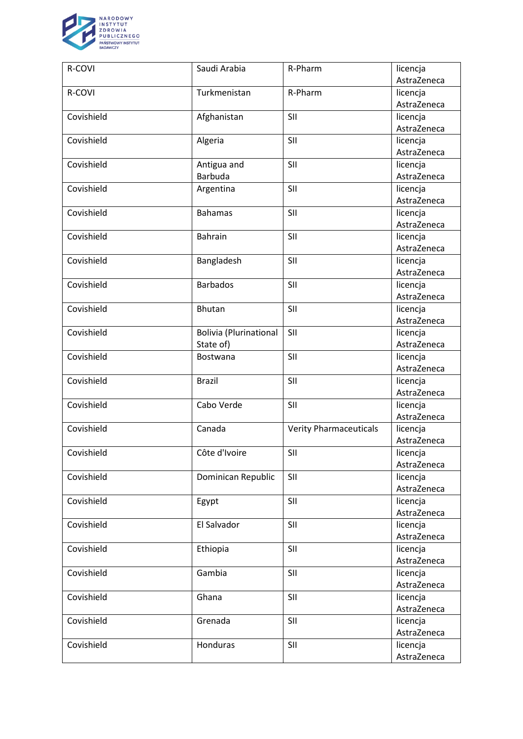

| R-COVI     | Saudi Arabia                  | R-Pharm                       | licencja    |
|------------|-------------------------------|-------------------------------|-------------|
|            |                               |                               | AstraZeneca |
| R-COVI     | Turkmenistan                  | R-Pharm                       | licencja    |
|            |                               |                               | AstraZeneca |
| Covishield | Afghanistan                   | SII                           | licencja    |
|            |                               |                               | AstraZeneca |
| Covishield | Algeria                       | SII                           | licencja    |
|            |                               |                               | AstraZeneca |
| Covishield | Antigua and                   | SII                           | licencja    |
|            | <b>Barbuda</b>                |                               | AstraZeneca |
| Covishield | Argentina                     | SII                           | licencja    |
|            |                               |                               | AstraZeneca |
| Covishield | <b>Bahamas</b>                | SII                           | licencja    |
|            |                               |                               | AstraZeneca |
| Covishield | Bahrain                       | SII                           | licencja    |
|            |                               |                               | AstraZeneca |
| Covishield | Bangladesh                    | SII                           | licencja    |
|            |                               |                               | AstraZeneca |
| Covishield | <b>Barbados</b>               | SII                           | licencja    |
|            |                               |                               | AstraZeneca |
| Covishield | Bhutan                        | SII                           | licencja    |
|            |                               |                               | AstraZeneca |
| Covishield | <b>Bolivia (Plurinational</b> | SII                           | licencja    |
|            | State of)                     |                               | AstraZeneca |
| Covishield | Bostwana                      | SII                           | licencja    |
|            |                               |                               | AstraZeneca |
| Covishield | <b>Brazil</b>                 | SII                           | licencja    |
|            |                               |                               | AstraZeneca |
| Covishield | Cabo Verde                    | SII                           | licencja    |
|            |                               |                               | AstraZeneca |
| Covishield | Canada                        | <b>Verity Pharmaceuticals</b> | licencja    |
|            |                               |                               | AstraZeneca |
| Covishield | Côte d'Ivoire                 | SII                           | licencja    |
|            |                               |                               | AstraZeneca |
| Covishield | Dominican Republic            | SII                           | licencja    |
|            |                               |                               | AstraZeneca |
| Covishield | Egypt                         | SII                           | licencja    |
|            |                               |                               | AstraZeneca |
| Covishield | El Salvador                   | SII                           | licencja    |
|            |                               |                               | AstraZeneca |
| Covishield | Ethiopia                      | SII                           | licencja    |
|            |                               |                               | AstraZeneca |
| Covishield | Gambia                        | SII                           | licencja    |
|            |                               |                               | AstraZeneca |
| Covishield | Ghana                         | SII                           | licencja    |
|            |                               |                               | AstraZeneca |
| Covishield | Grenada                       | SII                           | licencja    |
|            |                               |                               | AstraZeneca |
| Covishield | Honduras                      | SII                           | licencja    |
|            |                               |                               | AstraZeneca |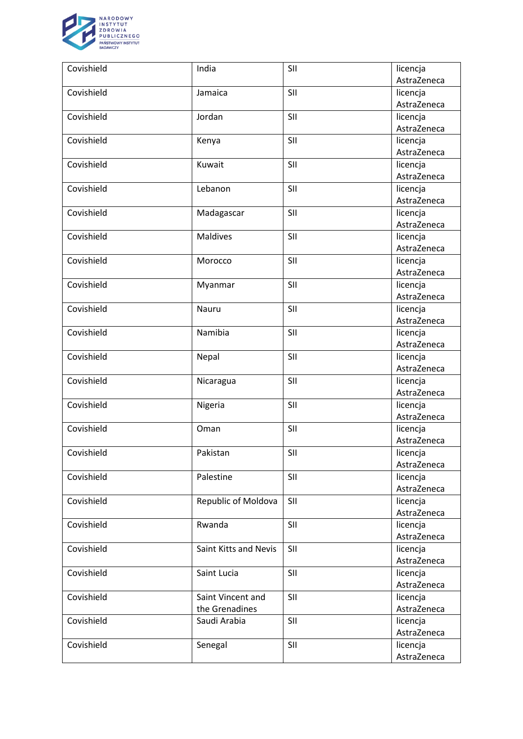

| Covishield | India                 | SII | licencja                |
|------------|-----------------------|-----|-------------------------|
|            |                       |     | AstraZeneca             |
| Covishield | Jamaica               | SII | licencja                |
|            |                       |     | AstraZeneca             |
| Covishield | Jordan                | SII | licencja                |
|            |                       |     | AstraZeneca             |
| Covishield | Kenya                 | SII | licencja                |
|            |                       |     | AstraZeneca             |
| Covishield | Kuwait                | SII | licencja                |
|            |                       |     | AstraZeneca             |
| Covishield | Lebanon               | SII | licencja                |
|            |                       |     | AstraZeneca             |
| Covishield | Madagascar            | SII | licencja                |
|            |                       |     | AstraZeneca             |
| Covishield | <b>Maldives</b>       | SII | licencja                |
|            |                       |     | AstraZeneca             |
| Covishield | Morocco               | SII | licencja                |
|            |                       |     | AstraZeneca             |
| Covishield | Myanmar               | SII | licencja                |
|            |                       |     | AstraZeneca             |
| Covishield | Nauru                 | SII | licencja                |
|            |                       |     | AstraZeneca             |
| Covishield | Namibia               | SII | licencja                |
|            |                       |     | AstraZeneca             |
| Covishield | Nepal                 | SII | licencja                |
|            |                       |     | AstraZeneca             |
| Covishield | Nicaragua             | SII | licencja                |
| Covishield |                       |     | AstraZeneca             |
|            | Nigeria               | SII | licencja<br>AstraZeneca |
| Covishield | Oman                  | SII | licencja                |
|            |                       |     | AstraZeneca             |
| Covishield | Pakistan              | SII | licencja                |
|            |                       |     | AstraZeneca             |
| Covishield | Palestine             | SII | licencja                |
|            |                       |     | AstraZeneca             |
| Covishield | Republic of Moldova   | SII | licencja                |
|            |                       |     | AstraZeneca             |
| Covishield | Rwanda                | SII | licencja                |
|            |                       |     | AstraZeneca             |
| Covishield | Saint Kitts and Nevis | SII | licencja                |
|            |                       |     | AstraZeneca             |
| Covishield | Saint Lucia           | SII | licencja                |
|            |                       |     | AstraZeneca             |
| Covishield | Saint Vincent and     | SII | licencja                |
|            | the Grenadines        |     | AstraZeneca             |
| Covishield | Saudi Arabia          | SII | licencja                |
|            |                       |     | AstraZeneca             |
| Covishield | Senegal               | SII | licencja                |
|            |                       |     | AstraZeneca             |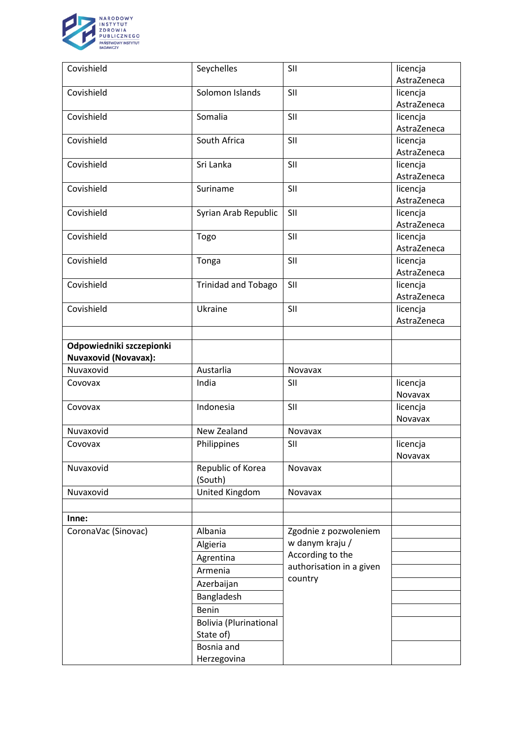

| Covishield                  | Seychelles                                 | SII                      | licencja    |
|-----------------------------|--------------------------------------------|--------------------------|-------------|
|                             |                                            |                          | AstraZeneca |
| Covishield                  | Solomon Islands                            | SII                      | licencja    |
|                             |                                            |                          | AstraZeneca |
| Covishield                  | Somalia                                    | SII                      | licencja    |
|                             |                                            |                          | AstraZeneca |
| Covishield                  | South Africa                               | SII                      | licencja    |
|                             |                                            |                          | AstraZeneca |
| Covishield                  | Sri Lanka                                  | SII                      | licencja    |
|                             |                                            |                          | AstraZeneca |
| Covishield                  | Suriname                                   | SII                      | licencja    |
|                             |                                            |                          | AstraZeneca |
| Covishield                  | Syrian Arab Republic                       | SII                      | licencja    |
|                             |                                            |                          | AstraZeneca |
| Covishield                  | Togo                                       | SII                      | licencja    |
|                             |                                            |                          | AstraZeneca |
| Covishield                  | Tonga                                      | SII                      | licencja    |
|                             |                                            |                          | AstraZeneca |
| Covishield                  | <b>Trinidad and Tobago</b>                 | SII                      | licencja    |
|                             |                                            |                          | AstraZeneca |
| Covishield                  | Ukraine                                    | SII                      | licencja    |
|                             |                                            |                          | AstraZeneca |
|                             |                                            |                          |             |
| Odpowiedniki szczepionki    |                                            |                          |             |
| <b>Nuvaxovid (Novavax):</b> |                                            |                          |             |
| Nuvaxovid                   | Austarlia                                  | Novavax                  |             |
| Covovax                     | India                                      | SII                      | licencja    |
|                             |                                            |                          | Novavax     |
| Covovax                     | Indonesia                                  | SII                      | licencja    |
|                             |                                            |                          | Novavax     |
| Nuvaxovid                   | New Zealand                                | Novavax                  |             |
| Covovax                     | Philippines                                | SII                      | licencja    |
|                             |                                            |                          | Novavax     |
| Nuvaxovid                   | Republic of Korea                          | Novavax                  |             |
|                             | (South)                                    |                          |             |
| Nuvaxovid                   | United Kingdom                             | Novavax                  |             |
|                             |                                            |                          |             |
| Inne:                       |                                            |                          |             |
| CoronaVac (Sinovac)         | Albania                                    | Zgodnie z pozwoleniem    |             |
|                             | Algieria                                   | w danym kraju /          |             |
|                             | Agrentina                                  | According to the         |             |
|                             | Armenia                                    | authorisation in a given |             |
|                             | Azerbaijan                                 | country                  |             |
|                             | Bangladesh                                 |                          |             |
|                             | Benin                                      |                          |             |
|                             |                                            |                          |             |
|                             | <b>Bolivia (Plurinational</b><br>State of) |                          |             |
|                             | Bosnia and                                 |                          |             |
|                             |                                            |                          |             |
|                             | Herzegovina                                |                          |             |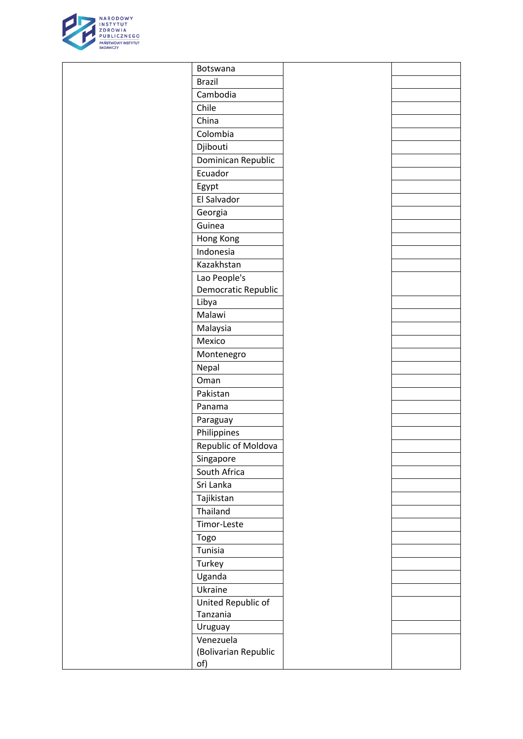

| Botswana                  |  |
|---------------------------|--|
| <b>Brazil</b>             |  |
| Cambodia                  |  |
| Chile                     |  |
| China                     |  |
| Colombia                  |  |
| Djibouti                  |  |
| Dominican Republic        |  |
| Ecuador                   |  |
| Egypt                     |  |
| El Salvador               |  |
| Georgia                   |  |
| Guinea                    |  |
| Hong Kong                 |  |
| Indonesia                 |  |
| Kazakhstan                |  |
| Lao People's              |  |
| Democratic Republic       |  |
| Libya                     |  |
| Malawi                    |  |
| Malaysia                  |  |
| Mexico                    |  |
| Montenegro                |  |
| Nepal                     |  |
| Oman<br>Pakistan          |  |
|                           |  |
| Panama                    |  |
| Paraguay                  |  |
| Philippines               |  |
| Republic of Moldova       |  |
| Singapore<br>South Africa |  |
| Sri Lanka                 |  |
| Tajikistan                |  |
| Thailand                  |  |
| Timor-Leste               |  |
| Togo                      |  |
| Tunisia                   |  |
| Turkey                    |  |
| Uganda                    |  |
| Ukraine                   |  |
| United Republic of        |  |
| Tanzania                  |  |
| Uruguay                   |  |
| Venezuela                 |  |
| (Bolivarian Republic      |  |
| of)                       |  |